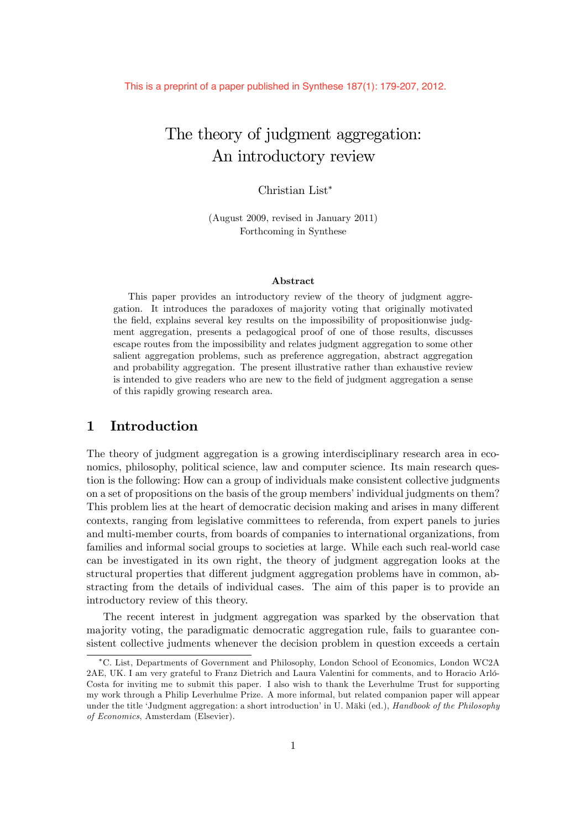# The theory of judgment aggregation: An introductory review

Christian List<sup>\*</sup>

(August 2009, revised in January 2011) Forthcoming in Synthese

#### Abstract

This paper provides an introductory review of the theory of judgment aggregation. It introduces the paradoxes of majority voting that originally motivated the field, explains several key results on the impossibility of propositionwise judgment aggregation, presents a pedagogical proof of one of those results, discusses escape routes from the impossibility and relates judgment aggregation to some other salient aggregation problems, such as preference aggregation, abstract aggregation and probability aggregation. The present illustrative rather than exhaustive review is intended to give readers who are new to the field of judgment aggregation a sense of this rapidly growing research area.

## 1 Introduction

The theory of judgment aggregation is a growing interdisciplinary research area in economics, philosophy, political science, law and computer science. Its main research question is the following: How can a group of individuals make consistent collective judgments on a set of propositions on the basis of the group members' individual judgments on them? This problem lies at the heart of democratic decision making and arises in many different contexts, ranging from legislative committees to referenda, from expert panels to juries and multi-member courts, from boards of companies to international organizations, from families and informal social groups to societies at large. While each such real-world case can be investigated in its own right, the theory of judgment aggregation looks at the structural properties that different judgment aggregation problems have in common, abstracting from the details of individual cases. The aim of this paper is to provide an introductory review of this theory.

The recent interest in judgment aggregation was sparked by the observation that majority voting, the paradigmatic democratic aggregation rule, fails to guarantee consistent collective judments whenever the decision problem in question exceeds a certain

<sup>!</sup>C. List, Departments of Government and Philosophy, London School of Economics, London WC2A 2AE, UK. I am very grateful to Franz Dietrich and Laura Valentini for comments, and to Horacio Arló-Costa for inviting me to submit this paper. I also wish to thank the Leverhulme Trust for supporting my work through a Philip Leverhulme Prize. A more informal, but related companion paper will appear under the title 'Judgment aggregation: a short introduction' in U. Mäki (ed.), Handbook of the Philosophy of Economics, Amsterdam (Elsevier).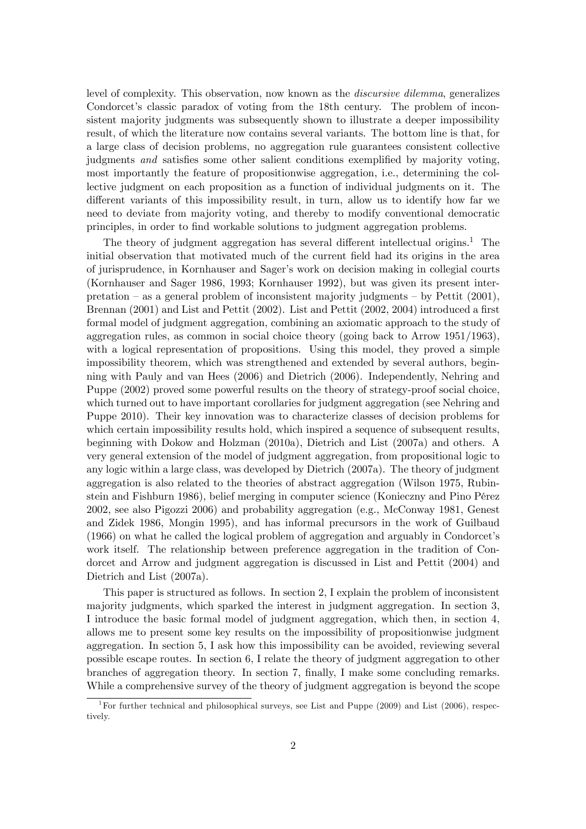level of complexity. This observation, now known as the discursive dilemma, generalizes Condorcet's classic paradox of voting from the 18th century. The problem of inconsistent majority judgments was subsequently shown to illustrate a deeper impossibility result, of which the literature now contains several variants. The bottom line is that, for a large class of decision problems, no aggregation rule guarantees consistent collective judgments and satisfies some other salient conditions exemplified by majority voting, most importantly the feature of propositionwise aggregation, i.e., determining the collective judgment on each proposition as a function of individual judgments on it. The different variants of this impossibility result, in turn, allow us to identify how far we need to deviate from majority voting, and thereby to modify conventional democratic principles, in order to Önd workable solutions to judgment aggregation problems.

The theory of judgment aggregation has several different intellectual origins.<sup>1</sup> The initial observation that motivated much of the current field had its origins in the area of jurisprudence, in Kornhauser and Sagerís work on decision making in collegial courts (Kornhauser and Sager 1986, 1993; Kornhauser 1992), but was given its present interpretation – as a general problem of inconsistent majority judgments – by Pettit  $(2001)$ , Brennan (2001) and List and Pettit (2002). List and Pettit (2002, 2004) introduced a first formal model of judgment aggregation, combining an axiomatic approach to the study of aggregation rules, as common in social choice theory (going back to Arrow 1951/1963), with a logical representation of propositions. Using this model, they proved a simple impossibility theorem, which was strengthened and extended by several authors, beginning with Pauly and van Hees (2006) and Dietrich (2006). Independently, Nehring and Puppe (2002) proved some powerful results on the theory of strategy-proof social choice, which turned out to have important corollaries for judgment aggregation (see Nehring and Puppe 2010). Their key innovation was to characterize classes of decision problems for which certain impossibility results hold, which inspired a sequence of subsequent results, beginning with Dokow and Holzman (2010a), Dietrich and List (2007a) and others. A very general extension of the model of judgment aggregation, from propositional logic to any logic within a large class, was developed by Dietrich (2007a). The theory of judgment aggregation is also related to the theories of abstract aggregation (Wilson 1975, Rubinstein and Fishburn 1986), belief merging in computer science (Konieczny and Pino Pérez 2002, see also Pigozzi 2006) and probability aggregation (e.g., McConway 1981, Genest and Zidek 1986, Mongin 1995), and has informal precursors in the work of Guilbaud (1966) on what he called the logical problem of aggregation and arguably in Condorcetís work itself. The relationship between preference aggregation in the tradition of Condorcet and Arrow and judgment aggregation is discussed in List and Pettit (2004) and Dietrich and List (2007a).

This paper is structured as follows. In section 2, I explain the problem of inconsistent majority judgments, which sparked the interest in judgment aggregation. In section 3, I introduce the basic formal model of judgment aggregation, which then, in section 4, allows me to present some key results on the impossibility of propositionwise judgment aggregation. In section 5, I ask how this impossibility can be avoided, reviewing several possible escape routes. In section 6, I relate the theory of judgment aggregation to other branches of aggregation theory. In section 7, finally, I make some concluding remarks. While a comprehensive survey of the theory of judgment aggregation is beyond the scope

<sup>&</sup>lt;sup>1</sup>For further technical and philosophical surveys, see List and Puppe (2009) and List (2006), respectively.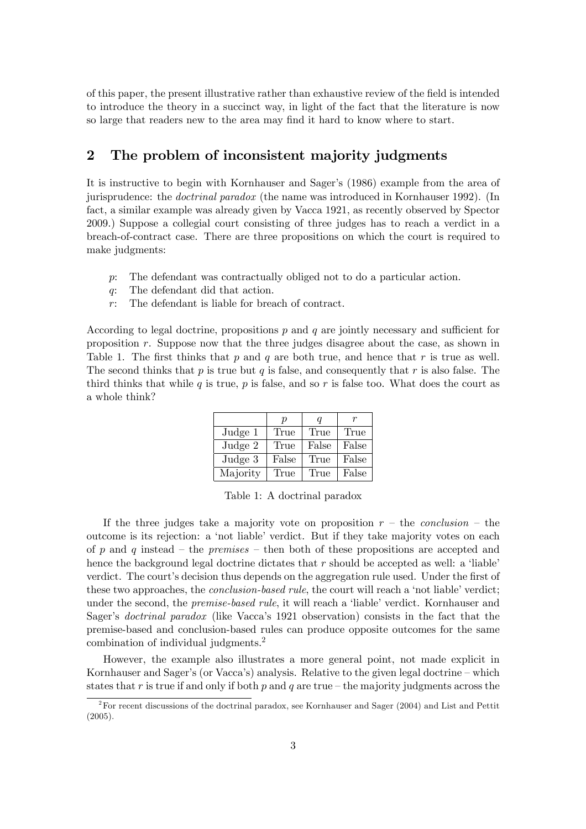of this paper, the present illustrative rather than exhaustive review of the Öeld is intended to introduce the theory in a succinct way, in light of the fact that the literature is now so large that readers new to the area may find it hard to know where to start.

# 2 The problem of inconsistent majority judgments

It is instructive to begin with Kornhauser and Sager's (1986) example from the area of jurisprudence: the doctrinal paradox (the name was introduced in Kornhauser 1992). (In fact, a similar example was already given by Vacca 1921, as recently observed by Spector 2009.) Suppose a collegial court consisting of three judges has to reach a verdict in a breach-of-contract case. There are three propositions on which the court is required to make judgments:

- p: The defendant was contractually obliged not to do a particular action.
- q: The defendant did that action.
- r: The defendant is liable for breach of contract.

According to legal doctrine, propositions p and q are jointly necessary and sufficient for proposition r. Suppose now that the three judges disagree about the case, as shown in Table 1. The first thinks that p and q are both true, and hence that r is true as well. The second thinks that  $p$  is true but  $q$  is false, and consequently that  $r$  is also false. The third thinks that while q is true, p is false, and so r is false too. What does the court as a whole think?

|          | р     |       | r     |
|----------|-------|-------|-------|
| Judge 1  | True  | True  | True  |
| Judge 2  | True  | False | False |
| Judge 3  | False | True  | False |
| Majority | True  | True  | False |

Table 1: A doctrinal paradox

If the three judges take a majority vote on proposition  $r -$  the *conclusion*  $-$  the outcome is its rejection: a ënot liableí verdict. But if they take majority votes on each of p and q instead – the premises – then both of these propositions are accepted and hence the background legal doctrine dictates that  $r$  should be accepted as well: a 'liable' verdict. The court's decision thus depends on the aggregation rule used. Under the first of these two approaches, the *conclusion-based rule*, the court will reach a 'not liable' verdict; under the second, the *premise-based rule*, it will reach a 'liable' verdict. Kornhauser and Sager's *doctrinal paradox* (like Vacca's 1921 observation) consists in the fact that the premise-based and conclusion-based rules can produce opposite outcomes for the same combination of individual judgments.<sup>2</sup>

However, the example also illustrates a more general point, not made explicit in Kornhauser and Sager's (or Vacca's) analysis. Relative to the given legal doctrine  $-\text{ which}$ states that r is true if and only if both p and q are true  $-$  the majority judgments across the

<sup>2</sup>For recent discussions of the doctrinal paradox, see Kornhauser and Sager (2004) and List and Pettit (2005).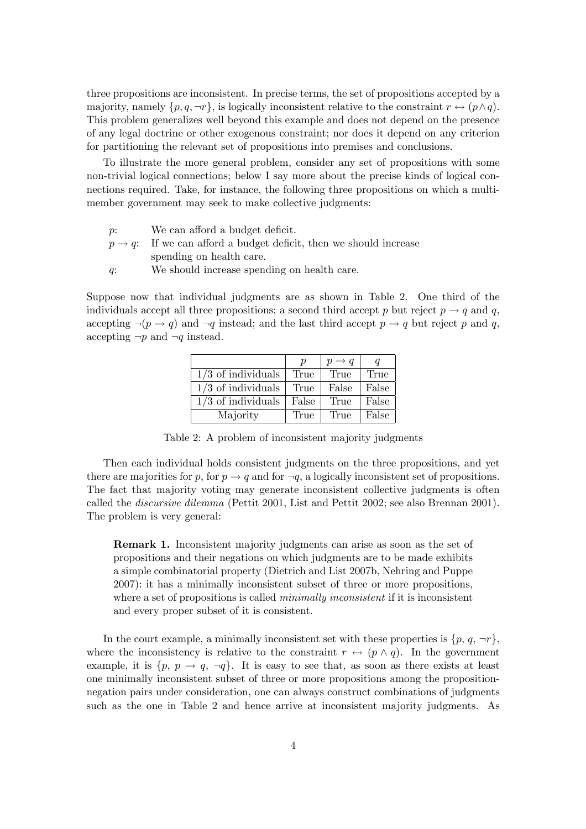three propositions are inconsistent. In precise terms, the set of propositions accepted by a majority, namely  $\{p, q, \neg r\}$ , is logically inconsistent relative to the constraint  $r \leftrightarrow (p \land q)$ . This problem generalizes well beyond this example and does not depend on the presence of any legal doctrine or other exogenous constraint; nor does it depend on any criterion for partitioning the relevant set of propositions into premises and conclusions.

To illustrate the more general problem, consider any set of propositions with some non-trivial logical connections; below I say more about the precise kinds of logical connections required. Take, for instance, the following three propositions on which a multimember government may seek to make collective judgments:

 $p$ : We can afford a budget deficit.  $p \rightarrow q$ : If we can afford a budget deficit, then we should increase spending on health care. q: We should increase spending on health care.

Suppose now that individual judgments are as shown in Table 2. One third of the individuals accept all three propositions; a second third accept p but reject  $p \rightarrow q$  and q, accepting  $\neg(p \rightarrow q)$  and  $\neg q$  instead; and the last third accept  $p \rightarrow q$  but reject p and q, accepting  $\neg p$  and  $\neg q$  instead.

|                      | $\boldsymbol{p}$ | $p \rightarrow q$ |       |
|----------------------|------------------|-------------------|-------|
| $1/3$ of individuals | True             | True              | True  |
| $1/3$ of individuals | True             | False             | False |
| $1/3$ of individuals | False            | True              | False |
| Majority             | True             | True              | False |

Table 2: A problem of inconsistent majority judgments

Then each individual holds consistent judgments on the three propositions, and yet there are majorities for p, for  $p \rightarrow q$  and for  $\neg q$ , a logically inconsistent set of propositions. The fact that majority voting may generate inconsistent collective judgments is often called the discursive dilemma (Pettit 2001, List and Pettit 2002; see also Brennan 2001). The problem is very general:

Remark 1. Inconsistent majority judgments can arise as soon as the set of propositions and their negations on which judgments are to be made exhibits a simple combinatorial property (Dietrich and List 2007b, Nehring and Puppe 2007): it has a minimally inconsistent subset of three or more propositions, where a set of propositions is called *minimally inconsistent* if it is inconsistent and every proper subset of it is consistent.

In the court example, a minimally inconsistent set with these properties is  $\{p, q, \neg r\}$ , where the inconsistency is relative to the constraint  $r \leftrightarrow (p \wedge q)$ . In the government example, it is  $\{p, p \rightarrow q, \neg q\}$ . It is easy to see that, as soon as there exists at least one minimally inconsistent subset of three or more propositions among the propositionnegation pairs under consideration, one can always construct combinations of judgments such as the one in Table 2 and hence arrive at inconsistent majority judgments. As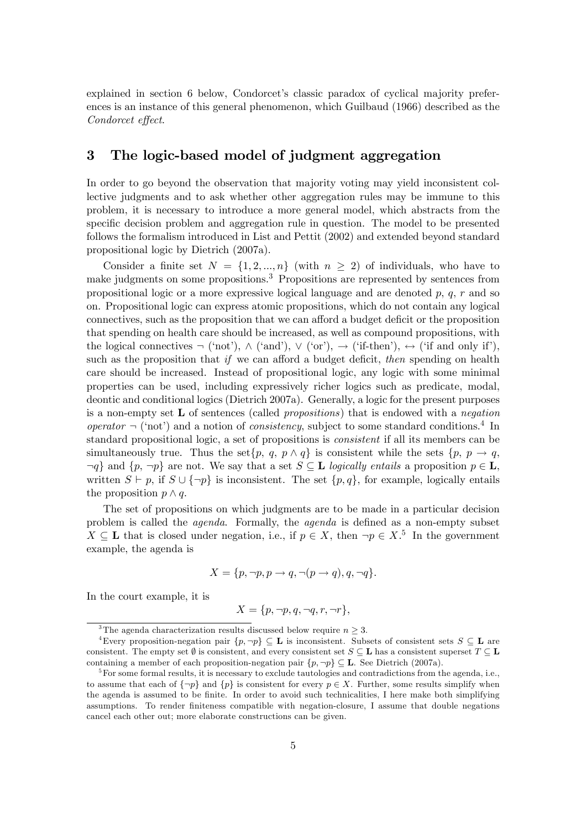explained in section 6 below, Condorcet's classic paradox of cyclical majority preferences is an instance of this general phenomenon, which Guilbaud (1966) described as the Condorcet effect.

### 3 The logic-based model of judgment aggregation

In order to go beyond the observation that majority voting may yield inconsistent collective judgments and to ask whether other aggregation rules may be immune to this problem, it is necessary to introduce a more general model, which abstracts from the specific decision problem and aggregation rule in question. The model to be presented follows the formalism introduced in List and Pettit (2002) and extended beyond standard propositional logic by Dietrich (2007a).

Consider a finite set  $N = \{1, 2, ..., n\}$  (with  $n \geq 2$ ) of individuals, who have to make judgments on some propositions.3 Propositions are represented by sentences from propositional logic or a more expressive logical language and are denoted  $p, q, r$  and so on. Propositional logic can express atomic propositions, which do not contain any logical connectives, such as the proposition that we can afford a budget deficit or the proposition that spending on health care should be increased, as well as compound propositions, with the logical connectives  $\neg$  ('not'),  $\wedge$  ('and'),  $\vee$  ('or'),  $\rightarrow$  ('if-then'),  $\leftrightarrow$  ('if and only if'), such as the proposition that if we can afford a budget deficit, then spending on health care should be increased. Instead of propositional logic, any logic with some minimal properties can be used, including expressively richer logics such as predicate, modal, deontic and conditional logics (Dietrich 2007a). Generally, a logic for the present purposes is a non-empty set L of sentences (called propositions) that is endowed with a negation operator  $\neg$  ('not') and a notion of *consistency*, subject to some standard conditions.<sup>4</sup> In standard propositional logic, a set of propositions is consistent if all its members can be simultaneously true. Thus the set $\{p, q, p \wedge q\}$  is consistent while the sets  $\{p, p \rightarrow q, q\}$  $\lnot q$  and  $\{p, \lnot p\}$  are not. We say that a set  $S \subseteq L$  logically entails a proposition  $p \in L$ , written  $S \vdash p$ , if  $S \cup {\neg p}$  is inconsistent. The set  ${p, q}$ , for example, logically entails the proposition  $p \wedge q$ .

The set of propositions on which judgments are to be made in a particular decision problem is called the *agenda*. Formally, the *agenda* is defined as a non-empty subset  $X \subseteq L$  that is closed under negation, i.e., if  $p \in X$ , then  $\neg p \in X$ .<sup>5</sup> In the government example, the agenda is

$$
X = \{p, \neg p, p \rightarrow q, \neg (p \rightarrow q), q, \neg q\}.
$$

In the court example, it is

$$
X = \{p, \neg p, q, \neg q, r, \neg r\},\
$$

<sup>&</sup>lt;sup>3</sup>The agenda characterization results discussed below require  $n \geq 3$ .<br><sup>4</sup>Every proposition-negation pair  $\{p, \neg p\} \subseteq L$  is inconsistent. Subsets of consistent sets  $S \subseteq L$  are consistent. The empty set  $\emptyset$  is consistent, and every consistent set  $S \subseteq L$  has a consistent superset  $T \subseteq L$  containing a member of each proposition-negation pair  $\{p, \neg p\} \subseteq L$ . See Dietrich (2007a).

<sup>&</sup>lt;sup>5</sup> For some formal results, it is necessary to exclude tautologies and contradictions from the agenda, i.e., to assume that each of  $\{\neg p\}$  and  $\{p\}$  is consistent for every  $p \in X$ . Further, some results simplify when the agenda is assumed to be finite. In order to avoid such technicalities, I here make both simplifying assumptions. To render Öniteness compatible with negation-closure, I assume that double negations cancel each other out; more elaborate constructions can be given.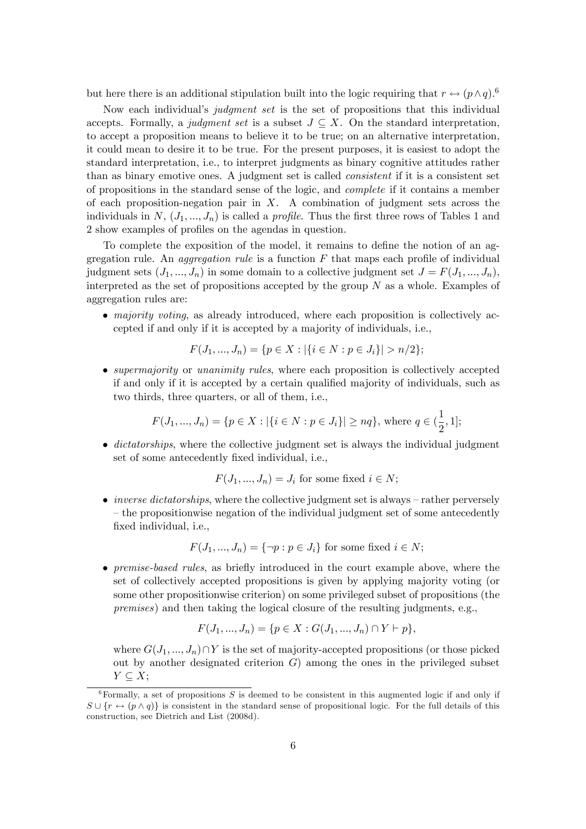but here there is an additional stipulation built into the logic requiring that  $r \leftrightarrow (p \wedge q)^{6}$ .

Now each individual's judgment set is the set of propositions that this individual accepts. Formally, a judgment set is a subset  $J \subseteq X$ . On the standard interpretation, to accept a proposition means to believe it to be true; on an alternative interpretation, it could mean to desire it to be true. For the present purposes, it is easiest to adopt the standard interpretation, i.e., to interpret judgments as binary cognitive attitudes rather than as binary emotive ones. A judgment set is called consistent if it is a consistent set of propositions in the standard sense of the logic, and complete if it contains a member of each proposition-negation pair in  $X$ . A combination of judgment sets across the individuals in N,  $(J_1, ..., J_n)$  is called a *profile*. Thus the first three rows of Tables 1 and 2 show examples of profiles on the agendas in question.

To complete the exposition of the model, it remains to define the notion of an aggregation rule. An *aggregation rule* is a function  $F$  that maps each profile of individual judgment sets  $(J_1, ..., J_n)$  in some domain to a collective judgment set  $J = F(J_1, ..., J_n)$ , interpreted as the set of propositions accepted by the group  $N$  as a whole. Examples of aggregation rules are:

- majority voting, as already introduced, where each proposition is collectively accepted if and only if it is accepted by a majority of individuals, i.e.,

$$
F(J_1, ..., J_n) = \{ p \in X : |\{ i \in N : p \in J_i \}| > n/2 \};
$$

- supermajority or unanimity rules, where each proposition is collectively accepted if and only if it is accepted by a certain qualified majority of individuals, such as two thirds, three quarters, or all of them, i.e.,

$$
F(J_1, ..., J_n) = \{ p \in X : |\{ i \in N : p \in J_i \}| \ge nq \}, \text{ where } q \in (\frac{1}{2}, 1];
$$

- dictatorships, where the collective judgment set is always the individual judgment set of some antecedently fixed individual, i.e.,

$$
F(J_1, ..., J_n) = J_i
$$
 for some fixed  $i \in N$ ;

 $\bullet$  *inverse dictatorships*, where the collective judgment set is always – rather perversely – the propositionwise negation of the individual judgment set of some antecedently fixed individual, i.e.,

$$
F(J_1, ..., J_n) = \{ \neg p : p \in J_i \}
$$
 for some fixed  $i \in N$ ;

• premise-based rules, as briefly introduced in the court example above, where the set of collectively accepted propositions is given by applying majority voting (or some other propositionwise criterion) on some privileged subset of propositions (the premises) and then taking the logical closure of the resulting judgments, e.g.,

$$
F(J_1, ..., J_n) = \{ p \in X : G(J_1, ..., J_n) \cap Y \vdash p \},
$$

where  $G(J_1, ..., J_n)\cap Y$  is the set of majority-accepted propositions (or those picked out by another designated criterion  $G$ ) among the ones in the privileged subset  $Y \subseteq X;$ 

 $6$ Formally, a set of propositions S is deemed to be consistent in this augmented logic if and only if  $S \cup \{r \leftrightarrow (p \wedge q)\}\$ is consistent in the standard sense of propositional logic. For the full details of this construction, see Dietrich and List (2008d).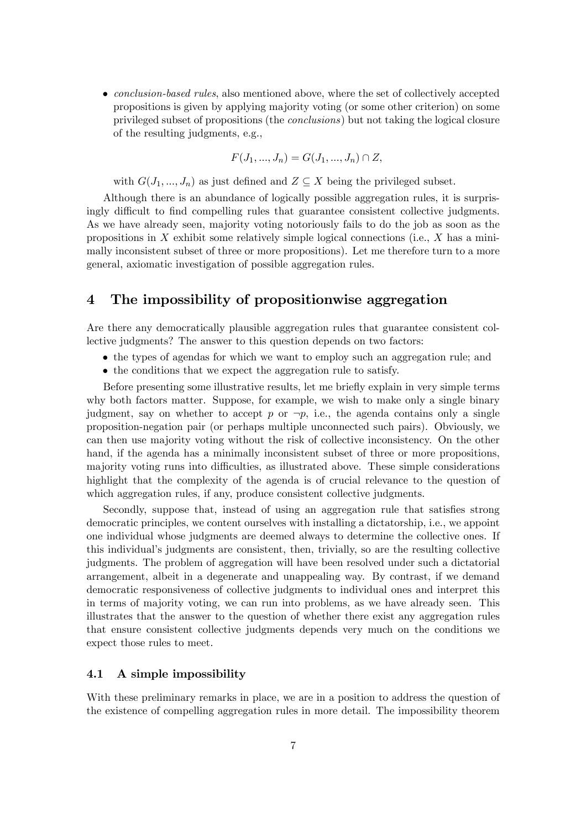- conclusion-based rules, also mentioned above, where the set of collectively accepted propositions is given by applying majority voting (or some other criterion) on some privileged subset of propositions (the conclusions) but not taking the logical closure of the resulting judgments, e.g.,

$$
F(J_1, ..., J_n) = G(J_1, ..., J_n) \cap Z,
$$

with  $G(J_1, ..., J_n)$  as just defined and  $Z \subseteq X$  being the privileged subset.

Although there is an abundance of logically possible aggregation rules, it is surprisingly difficult to find compelling rules that guarantee consistent collective judgments. As we have already seen, majority voting notoriously fails to do the job as soon as the propositions in X exhibit some relatively simple logical connections (i.e.,  $X$  has a minimally inconsistent subset of three or more propositions). Let me therefore turn to a more general, axiomatic investigation of possible aggregation rules.

# 4 The impossibility of propositionwise aggregation

Are there any democratically plausible aggregation rules that guarantee consistent collective judgments? The answer to this question depends on two factors:

- the types of agendas for which we want to employ such an aggregation rule; and
- the conditions that we expect the aggregation rule to satisfy.

Before presenting some illustrative results, let me brieáy explain in very simple terms why both factors matter. Suppose, for example, we wish to make only a single binary judgment, say on whether to accept p or  $\neg p$ , i.e., the agenda contains only a single proposition-negation pair (or perhaps multiple unconnected such pairs). Obviously, we can then use majority voting without the risk of collective inconsistency. On the other hand, if the agenda has a minimally inconsistent subset of three or more propositions, majority voting runs into difficulties, as illustrated above. These simple considerations highlight that the complexity of the agenda is of crucial relevance to the question of which aggregation rules, if any, produce consistent collective judgments.

Secondly, suppose that, instead of using an aggregation rule that satisfies strong democratic principles, we content ourselves with installing a dictatorship, i.e., we appoint one individual whose judgments are deemed always to determine the collective ones. If this individualís judgments are consistent, then, trivially, so are the resulting collective judgments. The problem of aggregation will have been resolved under such a dictatorial arrangement, albeit in a degenerate and unappealing way. By contrast, if we demand democratic responsiveness of collective judgments to individual ones and interpret this in terms of majority voting, we can run into problems, as we have already seen. This illustrates that the answer to the question of whether there exist any aggregation rules that ensure consistent collective judgments depends very much on the conditions we expect those rules to meet.

### 4.1 A simple impossibility

With these preliminary remarks in place, we are in a position to address the question of the existence of compelling aggregation rules in more detail. The impossibility theorem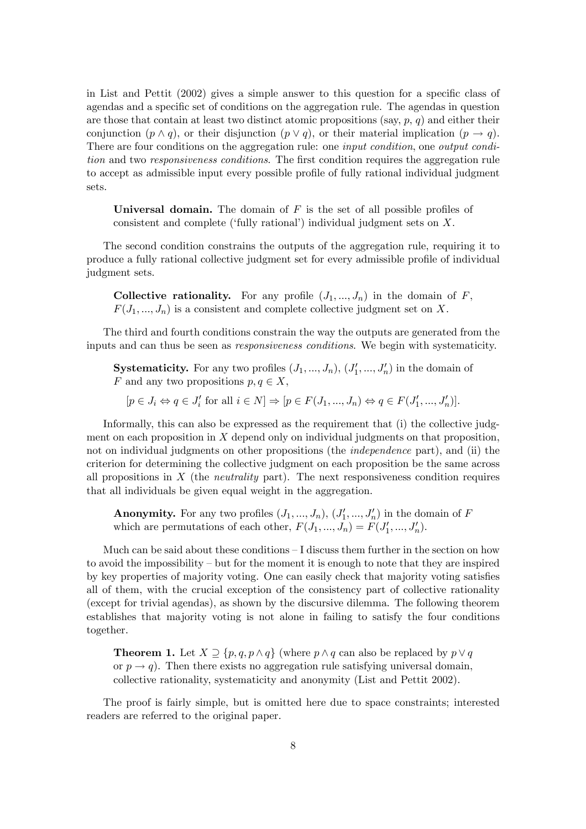in List and Pettit  $(2002)$  gives a simple answer to this question for a specific class of agendas and a specific set of conditions on the aggregation rule. The agendas in question are those that contain at least two distinct atomic propositions (say,  $p, q$ ) and either their conjunction  $(p \wedge q)$ , or their disjunction  $(p \vee q)$ , or their material implication  $(p \rightarrow q)$ . There are four conditions on the aggregation rule: one *input condition*, one *output condi*tion and two responsiveness conditions. The first condition requires the aggregation rule to accept as admissible input every possible profile of fully rational individual judgment sets.

Universal domain. The domain of  $F$  is the set of all possible profiles of consistent and complete ('fully rational') individual judgment sets on  $X$ .

The second condition constrains the outputs of the aggregation rule, requiring it to produce a fully rational collective judgment set for every admissible profile of individual judgment sets.

Collective rationality. For any profile  $(J_1, ..., J_n)$  in the domain of F,  $F(J_1, ..., J_n)$  is a consistent and complete collective judgment set on X.

The third and fourth conditions constrain the way the outputs are generated from the inputs and can thus be seen as responsiveness conditions. We begin with systematicity.

**Systematicity.** For any two profiles  $(J_1, ..., J_n)$ ,  $(J'_1, ..., J'_n)$  in the domain of F and any two propositions  $p, q \in X$ ,

 $[p \in J_i \Leftrightarrow q \in J'_i \text{ for all } i \in N] \Rightarrow [p \in F(J_1, ..., J_n) \Leftrightarrow q \in F(J'_1, ..., J'_n)].$ 

Informally, this can also be expressed as the requirement that (i) the collective judgment on each proposition in  $X$  depend only on individual judgments on that proposition, not on individual judgments on other propositions (the independence part), and (ii) the criterion for determining the collective judgment on each proposition be the same across all propositions in  $X$  (the *neutrality* part). The next responsiveness condition requires that all individuals be given equal weight in the aggregation.

**Anonymity.** For any two profiles  $(J_1, ..., J_n)$ ,  $(J'_1, ..., J'_n)$  in the domain of F which are permutations of each other,  $F(J_1, ..., J_n) = F(J'_1, ..., J'_n)$ .

Much can be said about these conditions  $-I$  discuss them further in the section on how to avoid the impossibility  $-\text{but for the moment it is enough to note that they are inspired}$ by key properties of majority voting. One can easily check that majority voting satisfies all of them, with the crucial exception of the consistency part of collective rationality (except for trivial agendas), as shown by the discursive dilemma. The following theorem establishes that majority voting is not alone in failing to satisfy the four conditions together.

**Theorem 1.** Let  $X \supseteq \{p, q, p \wedge q\}$  (where  $p \wedge q$  can also be replaced by  $p \vee q$ or  $p \rightarrow q$ ). Then there exists no aggregation rule satisfying universal domain, collective rationality, systematicity and anonymity (List and Pettit 2002).

The proof is fairly simple, but is omitted here due to space constraints; interested readers are referred to the original paper.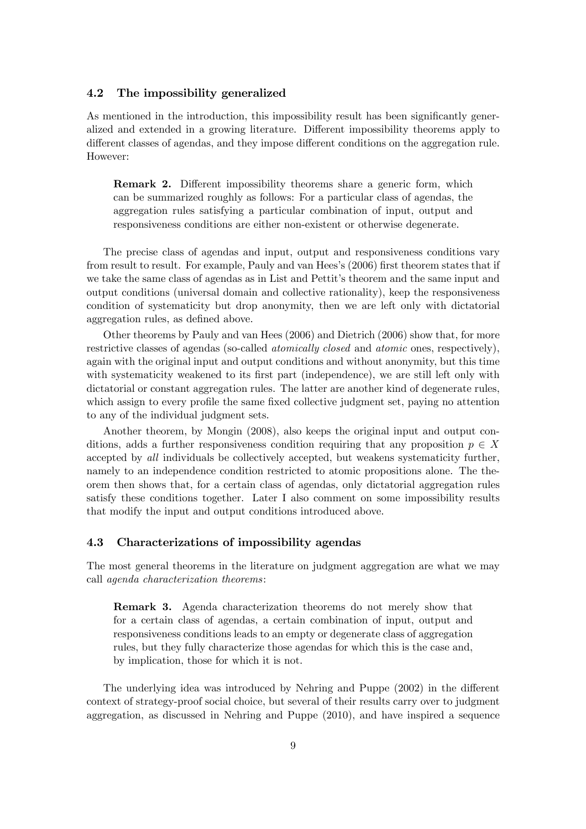### 4.2 The impossibility generalized

As mentioned in the introduction, this impossibility result has been significantly generalized and extended in a growing literature. Different impossibility theorems apply to different classes of agendas, and they impose different conditions on the aggregation rule. However:

**Remark 2.** Different impossibility theorems share a generic form, which can be summarized roughly as follows: For a particular class of agendas, the aggregation rules satisfying a particular combination of input, output and responsiveness conditions are either non-existent or otherwise degenerate.

The precise class of agendas and input, output and responsiveness conditions vary from result to result. For example, Pauly and van Hees's (2006) first theorem states that if we take the same class of agendas as in List and Pettit's theorem and the same input and output conditions (universal domain and collective rationality), keep the responsiveness condition of systematicity but drop anonymity, then we are left only with dictatorial aggregation rules, as defined above.

Other theorems by Pauly and van Hees (2006) and Dietrich (2006) show that, for more restrictive classes of agendas (so-called atomically closed and atomic ones, respectively), again with the original input and output conditions and without anonymity, but this time with systematicity weakened to its first part (independence), we are still left only with dictatorial or constant aggregation rules. The latter are another kind of degenerate rules, which assign to every profile the same fixed collective judgment set, paying no attention to any of the individual judgment sets.

Another theorem, by Mongin (2008), also keeps the original input and output conditions, adds a further responsiveness condition requiring that any proposition  $p \in X$ accepted by all individuals be collectively accepted, but weakens systematicity further, namely to an independence condition restricted to atomic propositions alone. The theorem then shows that, for a certain class of agendas, only dictatorial aggregation rules satisfy these conditions together. Later I also comment on some impossibility results that modify the input and output conditions introduced above.

#### 4.3 Characterizations of impossibility agendas

The most general theorems in the literature on judgment aggregation are what we may call agenda characterization theorems:

Remark 3. Agenda characterization theorems do not merely show that for a certain class of agendas, a certain combination of input, output and responsiveness conditions leads to an empty or degenerate class of aggregation rules, but they fully characterize those agendas for which this is the case and, by implication, those for which it is not.

The underlying idea was introduced by Nehring and Puppe (2002) in the different context of strategy-proof social choice, but several of their results carry over to judgment aggregation, as discussed in Nehring and Puppe (2010), and have inspired a sequence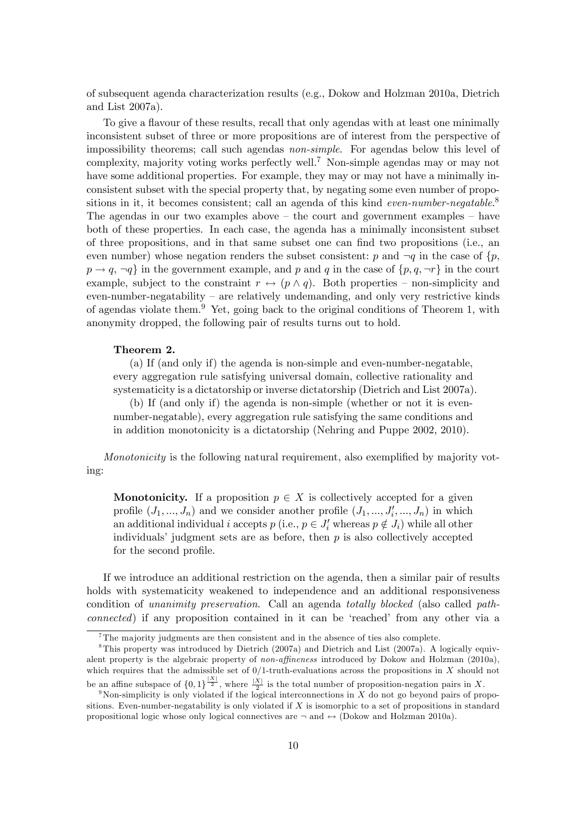of subsequent agenda characterization results (e.g., Dokow and Holzman 2010a, Dietrich and List 2007a).

To give a flavour of these results, recall that only agendas with at least one minimally inconsistent subset of three or more propositions are of interest from the perspective of impossibility theorems; call such agendas non-simple. For agendas below this level of complexity, majority voting works perfectly well.7 Non-simple agendas may or may not have some additional properties. For example, they may or may not have a minimally inconsistent subset with the special property that, by negating some even number of propositions in it, it becomes consistent; call an agenda of this kind *even-number-negatable*.<sup>8</sup> The agendas in our two examples above  $-$  the court and government examples  $-$  have both of these properties. In each case, the agenda has a minimally inconsistent subset of three propositions, and in that same subset one can find two propositions (i.e., an even number) whose negation renders the subset consistent: p and  $-q$  in the case of  $\{p,$  $p \rightarrow q$ ,  $\neg q$  in the government example, and p and q in the case of  $\{p, q, \neg r\}$  in the court example, subject to the constraint  $r \leftrightarrow (p \wedge q)$ . Both properties – non-simplicity and even-number-negatability  $-$  are relatively undemanding, and only very restrictive kinds of agendas violate them.<sup>9</sup> Yet, going back to the original conditions of Theorem 1, with anonymity dropped, the following pair of results turns out to hold.

#### Theorem 2.

(a) If (and only if) the agenda is non-simple and even-number-negatable, every aggregation rule satisfying universal domain, collective rationality and systematicity is a dictatorship or inverse dictatorship (Dietrich and List 2007a).

(b) If (and only if) the agenda is non-simple (whether or not it is evennumber-negatable), every aggregation rule satisfying the same conditions and in addition monotonicity is a dictatorship (Nehring and Puppe 2002, 2010).

Monotonicity is the following natural requirement, also exemplified by majority voting:

**Monotonicity.** If a proposition  $p \in X$  is collectively accepted for a given profile  $(J_1, ..., J_n)$  and we consider another profile  $(J_1, ..., J'_i, ..., J_n)$  in which an additional individual *i* accepts  $p$  (i.e.,  $p \in J'_i$  whereas  $p \notin J_i$ ) while all other individuals' judgment sets are as before, then  $p$  is also collectively accepted for the second profile.

If we introduce an additional restriction on the agenda, then a similar pair of results holds with systematicity weakened to independence and an additional responsiveness condition of unanimity preservation. Call an agenda totally blocked (also called pathconnected) if any proposition contained in it can be 'reached' from any other via a

<sup>7</sup>The majority judgments are then consistent and in the absence of ties also complete.

<sup>8</sup>This property was introduced by Dietrich (2007a) and Dietrich and List (2007a). A logically equivalent property is the algebraic property of *non-affineness* introduced by Dokow and Holzman (2010a), which requires that the admissible set of 0/1-truth-evaluations across the propositions in X should not be an affine subspace of  $\{0,1\}^{\frac{|X|}{2}}$ , where  $\frac{|X|}{2}$  is the total number of proposition-negation pairs in X.<br><sup>9</sup>Non-simplicity is only violated if the logical interconnections in X do not go beyond pairs of propo

sitions. Even-number-negatability is only violated if  $X$  is isomorphic to a set of propositions in standard propositional logic whose only logical connectives are  $\neg$  and  $\leftrightarrow$  (Dokow and Holzman 2010a).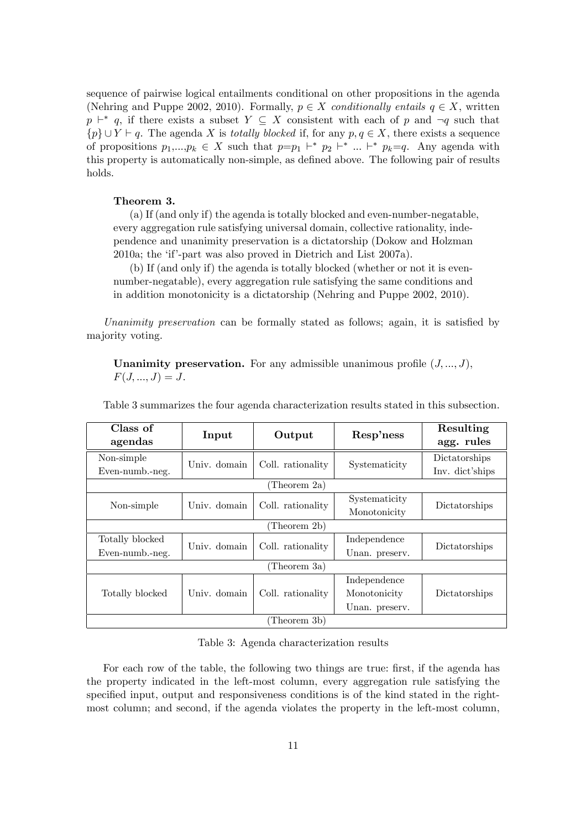sequence of pairwise logical entailments conditional on other propositions in the agenda (Nehring and Puppe 2002, 2010). Formally,  $p \in X$  conditionally entails  $q \in X$ , written  $p \vdash^* q$ , if there exists a subset  $Y \subseteq X$  consistent with each of p and  $\neg q$  such that  ${p} \cup Y \vdash q$ . The agenda X is totally blocked if, for any  $p, q \in X$ , there exists a sequence of propositions  $p_1,...,p_k \in X$  such that  $p=p_1 \vdash^* p_2 \vdash^* ... \vdash^* p_k=q$ . Any agenda with this property is automatically non-simple, as defined above. The following pair of results holds.

#### Theorem 3.

(a) If (and only if) the agenda is totally blocked and even-number-negatable, every aggregation rule satisfying universal domain, collective rationality, independence and unanimity preservation is a dictatorship (Dokow and Holzman 2010a; the 'if'-part was also proved in Dietrich and List 2007a).

(b) If (and only if) the agenda is totally blocked (whether or not it is evennumber-negatable), every aggregation rule satisfying the same conditions and in addition monotonicity is a dictatorship (Nehring and Puppe 2002, 2010).

Unanimity preservation can be formally stated as follows; again, it is satisfied by majority voting.

**Unanimity preservation.** For any admissible unanimous profile  $(J, ..., J)$ ,  $F(J, ..., J) = J.$ 

| Class of<br>agendas | Input        | Output            | Resp'ness      | Resulting<br>agg. rules |  |
|---------------------|--------------|-------------------|----------------|-------------------------|--|
| Non-simple          | Univ. domain | Coll. rationality | Systematicity  | Dictatorships           |  |
| Even-numb.-neg.     |              |                   |                | Inv. dict'ships         |  |
|                     |              | Theorem 2a)       |                |                         |  |
|                     | Univ. domain | Coll. rationality | Systematicity  | Dictatorships           |  |
| Non-simple          |              |                   | Monotonicity   |                         |  |
|                     |              | (Theorem 2b)      |                |                         |  |
| Totally blocked     | Univ. domain | Coll. rationality | Independence   | Dictatorships           |  |
| Even-numb.-neg.     |              |                   | Unan. preserv. |                         |  |
| Theorem 3a)         |              |                   |                |                         |  |
|                     |              |                   | Independence   |                         |  |
| Totally blocked     | Univ. domain | Coll. rationality | Monotonicity   | Dictatorships           |  |
|                     |              |                   | Unan. preserv. |                         |  |
| (Theorem 3b)        |              |                   |                |                         |  |

Table 3 summarizes the four agenda characterization results stated in this subsection.

Table 3: Agenda characterization results

For each row of the table, the following two things are true: first, if the agenda has the property indicated in the left-most column, every aggregation rule satisfying the specified input, output and responsiveness conditions is of the kind stated in the rightmost column; and second, if the agenda violates the property in the left-most column,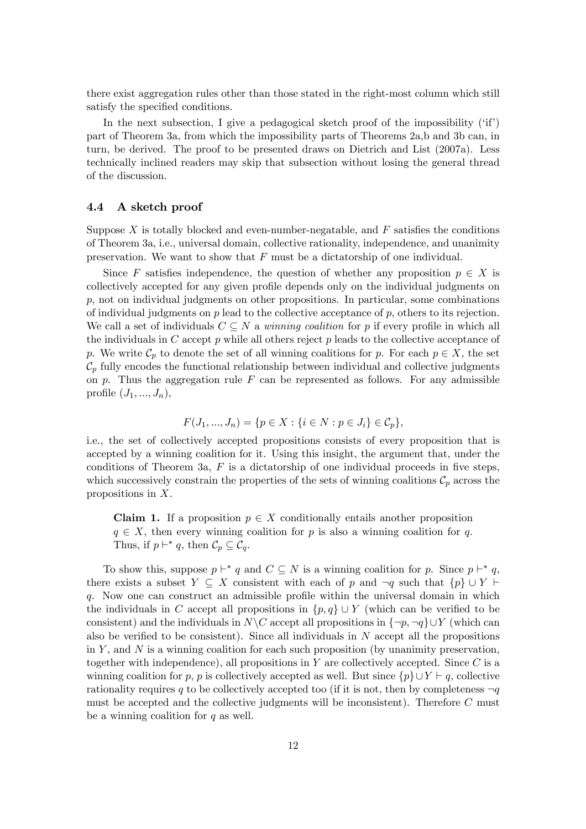there exist aggregation rules other than those stated in the right-most column which still satisfy the specified conditions.

In the next subsection, I give a pedagogical sketch proof of the impossibility  $(iif)$ part of Theorem 3a, from which the impossibility parts of Theorems 2a,b and 3b can, in turn, be derived. The proof to be presented draws on Dietrich and List (2007a). Less technically inclined readers may skip that subsection without losing the general thread of the discussion.

#### 4.4 A sketch proof

Suppose  $X$  is totally blocked and even-number-negatable, and  $F$  satisfies the conditions of Theorem 3a, i.e., universal domain, collective rationality, independence, and unanimity preservation. We want to show that  $F$  must be a dictatorship of one individual.

Since F satisfies independence, the question of whether any proposition  $p \in X$  is collectively accepted for any given profile depends only on the individual judgments on p, not on individual judgments on other propositions. In particular, some combinations of individual judgments on  $p$  lead to the collective acceptance of  $p$ , others to its rejection. We call a set of individuals  $C \subseteq N$  a winning coalition for p if every profile in which all the individuals in C accept p while all others reject p leads to the collective acceptance of p. We write  $\mathcal{C}_p$  to denote the set of all winning coalitions for p. For each  $p \in X$ , the set  $\mathcal{C}_p$  fully encodes the functional relationship between individual and collective judgments on  $p$ . Thus the aggregation rule  $F$  can be represented as follows. For any admissible profile  $(J_1, ..., J_n)$ ,

$$
F(J_1, ..., J_n) = \{ p \in X : \{ i \in N : p \in J_i \} \in C_p \},
$$

i.e., the set of collectively accepted propositions consists of every proposition that is accepted by a winning coalition for it. Using this insight, the argument that, under the conditions of Theorem 3a,  $F$  is a dictatorship of one individual proceeds in five steps, which successively constrain the properties of the sets of winning coalitions  $\mathcal{C}_p$  across the propositions in X.

**Claim 1.** If a proposition  $p \in X$  conditionally entails another proposition  $q \in X$ , then every winning coalition for p is also a winning coalition for q. Thus, if  $p \vdash^* q$ , then  $\mathcal{C}_p \subseteq \mathcal{C}_q$ .

To show this, suppose  $p \vdash^* q$  and  $C \subseteq N$  is a winning coalition for p. Since  $p \vdash^* q$ , there exists a subset  $Y \subseteq X$  consistent with each of p and  $\neg q$  such that  $\{p\} \cup Y \vdash$ q. Now one can construct an admissible profile within the universal domain in which the individuals in C accept all propositions in  $\{p,q\} \cup Y$  (which can be verified to be consistent) and the individuals in  $N\setminus C$  accept all propositions in  $\{\neg p, \neg q\} \cup Y$  (which can also be verified to be consistent). Since all individuals in  $N$  accept all the propositions in  $Y$ , and  $N$  is a winning coalition for each such proposition (by unanimity preservation, together with independence), all propositions in Y are collectively accepted. Since  $C$  is a winning coalition for p, p is collectively accepted as well. But since  $\{p\} \cup Y \vdash q$ , collective rationality requires q to be collectively accepted too (if it is not, then by completeness  $-q$ must be accepted and the collective judgments will be inconsistent). Therefore  $C$  must be a winning coalition for  $q$  as well.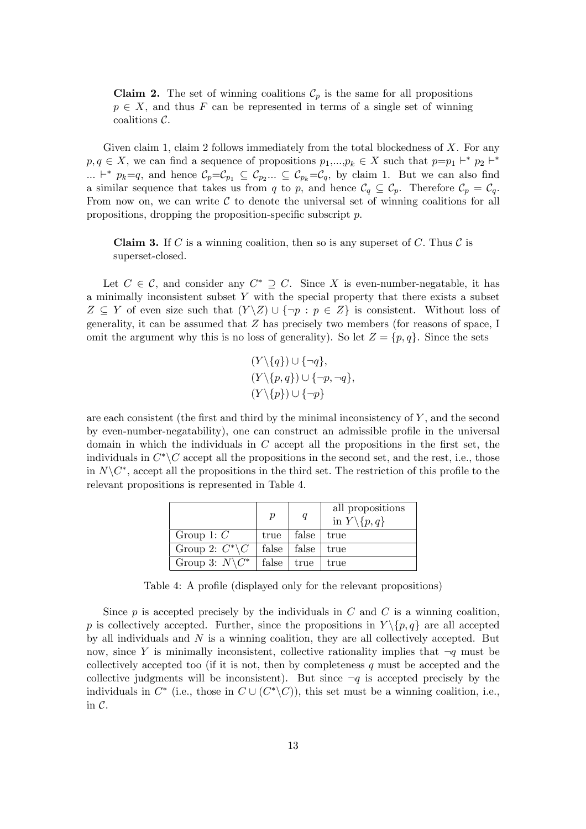**Claim 2.** The set of winning coalitions  $\mathcal{C}_p$  is the same for all propositions  $p \in X$ , and thus F can be represented in terms of a single set of winning coalitions C.

Given claim 1, claim 2 follows immediately from the total blockedness of  $X$ . For any  $p, q \in X$ , we can find a sequence of propositions  $p_1,...,p_k \in X$  such that  $p=p_1 \vdash^* p_2 \vdash^*$ ...  $\vdash^* p_k = q$ , and hence  $C_p = C_{p_1} \subseteq C_{p_2} \dots \subseteq C_{p_k} = C_q$ , by claim 1. But we can also find a similar sequence that takes us from q to p, and hence  $\mathcal{C}_q \subseteq \mathcal{C}_p$ . Therefore  $\mathcal{C}_p = \mathcal{C}_q$ . From now on, we can write  $\mathcal C$  to denote the universal set of winning coalitions for all propositions, dropping the proposition-specific subscript  $p$ .

**Claim 3.** If C is a winning coalition, then so is any superset of C. Thus  $\mathcal C$  is superset-closed.

Let  $C \in \mathcal{C}$ , and consider any  $C^* \supseteq C$ . Since X is even-number-negatable, it has a minimally inconsistent subset  $Y$  with the special property that there exists a subset  $Z \subseteq Y$  of even size such that  $(Y \setminus Z) \cup \{\neg p : p \in Z\}$  is consistent. Without loss of generality, it can be assumed that Z has precisely two members (for reasons of space, I omit the argument why this is no loss of generality). So let  $Z = \{p, q\}$ . Since the sets

$$
(Y \setminus \{q\}) \cup \{\neg q\},
$$
  
\n
$$
(Y \setminus \{p,q\}) \cup \{\neg p,\neg q\},
$$
  
\n
$$
(Y \setminus \{p\}) \cup \{\neg p\}
$$

are each consistent (the first and third by the minimal inconsistency of  $Y$ , and the second by even-number-negatability), one can construct an admissible profile in the universal domain in which the individuals in  $C$  accept all the propositions in the first set, the individuals in  $C^*\backslash C$  accept all the propositions in the second set, and the rest, i.e., those in  $N\setminus C^*$ , accept all the propositions in the third set. The restriction of this profile to the relevant propositions is represented in Table 4.

|                            | $\boldsymbol{p}$ |       | all propositions<br>in $Y \setminus \{p,q\}$ |
|----------------------------|------------------|-------|----------------------------------------------|
| Group 1: $C$               | true             | false | true                                         |
| Group 2: $C^*\backslash C$ | false   false    |       | ∣ true                                       |
| Group 3: $N\backslash C^*$ | false            | true  | true                                         |

Table 4: A profile (displayed only for the relevant propositions)

Since  $p$  is accepted precisely by the individuals in  $C$  and  $C$  is a winning coalition, p is collectively accepted. Further, since the propositions in  $Y\setminus\{p,q\}$  are all accepted by all individuals and  $N$  is a winning coalition, they are all collectively accepted. But now, since Y is minimally inconsistent, collective rationality implies that  $-q$  must be collectively accepted too (if it is not, then by completeness  $q$  must be accepted and the collective judgments will be inconsistent). But since  $\neg q$  is accepted precisely by the individuals in  $C^*$  (i.e., those in  $C \cup (C^* \backslash C)$ ), this set must be a winning coalition, i.e., in C.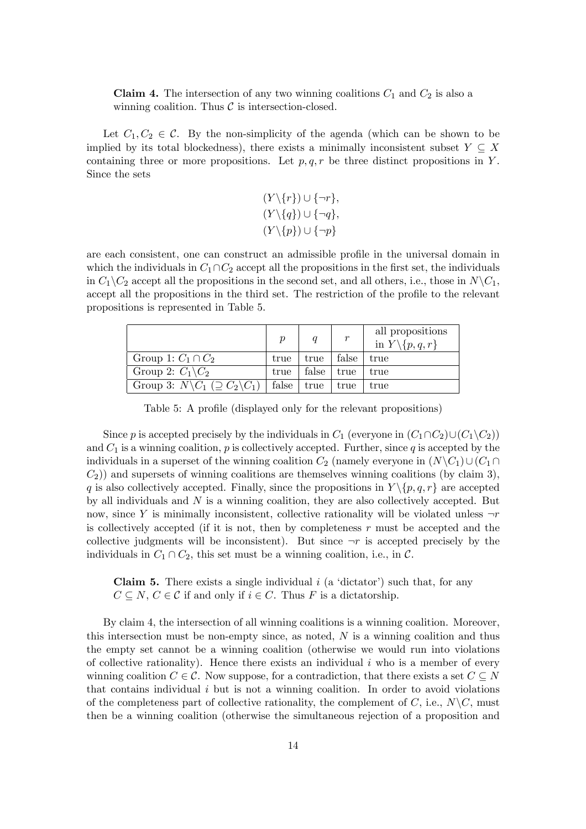**Claim 4.** The intersection of any two winning coalitions  $C_1$  and  $C_2$  is also a winning coalition. Thus  $\mathcal C$  is intersection-closed.

Let  $C_1, C_2 \in \mathcal{C}$ . By the non-simplicity of the agenda (which can be shown to be implied by its total blockedness), there exists a minimally inconsistent subset  $Y \subseteq X$ containing three or more propositions. Let  $p, q, r$  be three distinct propositions in Y. Since the sets

$$
(Y \setminus \{r\}) \cup \{\neg r\},
$$
  

$$
(Y \setminus \{q\}) \cup \{\neg q\},
$$
  

$$
(Y \setminus \{p\}) \cup \{\neg p\}
$$

are each consistent, one can construct an admissible profile in the universal domain in which the individuals in  $C_1\cap C_2$  accept all the propositions in the first set, the individuals in  $C_1 \backslash C_2$  accept all the propositions in the second set, and all others, i.e., those in  $N \backslash C_1$ , accept all the propositions in the third set. The restriction of the profile to the relevant propositions is represented in Table 5.

|                                                                | $\boldsymbol{\eta}$ | q     | $\boldsymbol{r}$ | all propositions<br>in $Y \setminus \{p,q,r\}$ |
|----------------------------------------------------------------|---------------------|-------|------------------|------------------------------------------------|
| Group 1: $C_1 \cap C_2$                                        | true                | true  | false            | true                                           |
| Group 2: $C_1 \backslash C_2$                                  | true                | false | true             | true                                           |
| Group 3: $N \backslash C_1$ ( $\supseteq C_2 \backslash C_1$ ) | false               | true  | true             | true                                           |

Table 5: A profile (displayed only for the relevant propositions)

Since p is accepted precisely by the individuals in  $C_1$  (everyone in  $(C_1\cap C_2)\cup(C_1\setminus C_2)$ ) and  $C_1$  is a winning coalition, p is collectively accepted. Further, since q is accepted by the individuals in a superset of the winning coalition  $C_2$  (namely everyone in  $(N\setminus C_1) \cup (C_1 \cap$  $C_2$ )) and supersets of winning coalitions are themselves winning coalitions (by claim 3), q is also collectively accepted. Finally, since the propositions in  $Y \setminus \{p, q, r\}$  are accepted by all individuals and  $N$  is a winning coalition, they are also collectively accepted. But now, since Y is minimally inconsistent, collective rationality will be violated unless  $\neg r$ is collectively accepted (if it is not, then by completeness  $r$  must be accepted and the collective judgments will be inconsistent). But since  $\neg r$  is accepted precisely by the individuals in  $C_1 \cap C_2$ , this set must be a winning coalition, i.e., in C.

**Claim 5.** There exists a single individual i (a 'dictator') such that, for any  $C \subseteq N, C \in \mathcal{C}$  if and only if  $i \in C$ . Thus F is a dictatorship.

By claim 4, the intersection of all winning coalitions is a winning coalition. Moreover, this intersection must be non-empty since, as noted,  $N$  is a winning coalition and thus the empty set cannot be a winning coalition (otherwise we would run into violations of collective rationality). Hence there exists an individual  $i$  who is a member of every winning coalition  $C \in \mathcal{C}$ . Now suppose, for a contradiction, that there exists a set  $C \subseteq N$ that contains individual  $i$  but is not a winning coalition. In order to avoid violations of the completeness part of collective rationality, the complement of C, i.e.,  $N\setminus C$ , must then be a winning coalition (otherwise the simultaneous rejection of a proposition and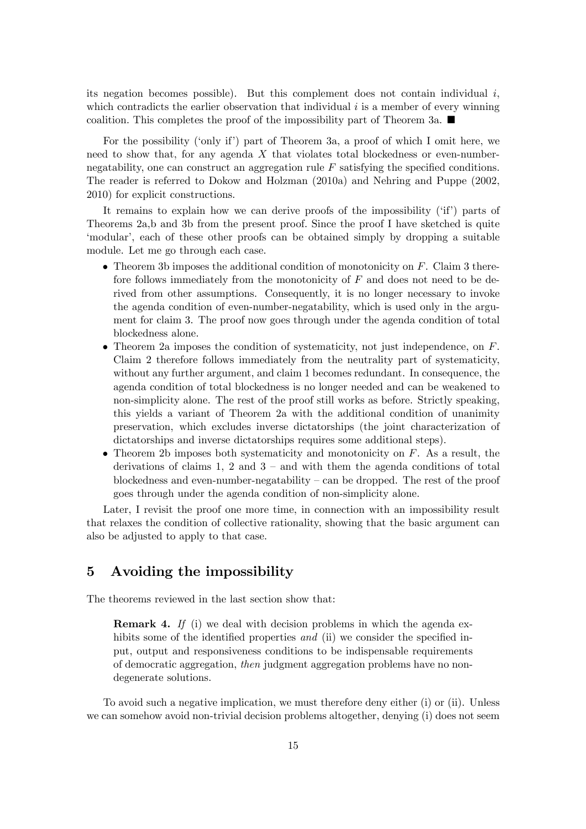its negation becomes possible). But this complement does not contain individual  $i$ , which contradicts the earlier observation that individual  $i$  is a member of every winning coalition. This completes the proof of the impossibility part of Theorem 3a.  $\blacksquare$ 

For the possibility ('only if') part of Theorem 3a, a proof of which I omit here, we need to show that, for any agenda  $X$  that violates total blockedness or even-numbernegatability, one can construct an aggregation rule  $F$  satisfying the specified conditions. The reader is referred to Dokow and Holzman (2010a) and Nehring and Puppe (2002, 2010) for explicit constructions.

It remains to explain how we can derive proofs of the impossibility  $(i\mathbf{f})$  parts of Theorems 2a,b and 3b from the present proof. Since the proof I have sketched is quite ëmodularí, each of these other proofs can be obtained simply by dropping a suitable module. Let me go through each case.

- $\bullet$  Theorem 3b imposes the additional condition of monotonicity on F. Claim 3 therefore follows immediately from the monotonicity of  $F$  and does not need to be derived from other assumptions. Consequently, it is no longer necessary to invoke the agenda condition of even-number-negatability, which is used only in the argument for claim 3. The proof now goes through under the agenda condition of total blockedness alone.
- $\bullet$  Theorem 2a imposes the condition of systematicity, not just independence, on  $F$ . Claim 2 therefore follows immediately from the neutrality part of systematicity, without any further argument, and claim 1 becomes redundant. In consequence, the agenda condition of total blockedness is no longer needed and can be weakened to non-simplicity alone. The rest of the proof still works as before. Strictly speaking, this yields a variant of Theorem 2a with the additional condition of unanimity preservation, which excludes inverse dictatorships (the joint characterization of dictatorships and inverse dictatorships requires some additional steps).
- $\bullet$  Theorem 2b imposes both systematicity and monotonicity on F. As a result, the derivations of claims  $1, 2$  and  $3$  – and with them the agenda conditions of total blockedness and even-number-negatability – can be dropped. The rest of the proof goes through under the agenda condition of non-simplicity alone.

Later, I revisit the proof one more time, in connection with an impossibility result that relaxes the condition of collective rationality, showing that the basic argument can also be adjusted to apply to that case.

### 5 Avoiding the impossibility

The theorems reviewed in the last section show that:

**Remark 4.** If (i) we deal with decision problems in which the agenda exhibits some of the identified properties and (ii) we consider the specified input, output and responsiveness conditions to be indispensable requirements of democratic aggregation, then judgment aggregation problems have no nondegenerate solutions.

To avoid such a negative implication, we must therefore deny either (i) or (ii). Unless we can somehow avoid non-trivial decision problems altogether, denying (i) does not seem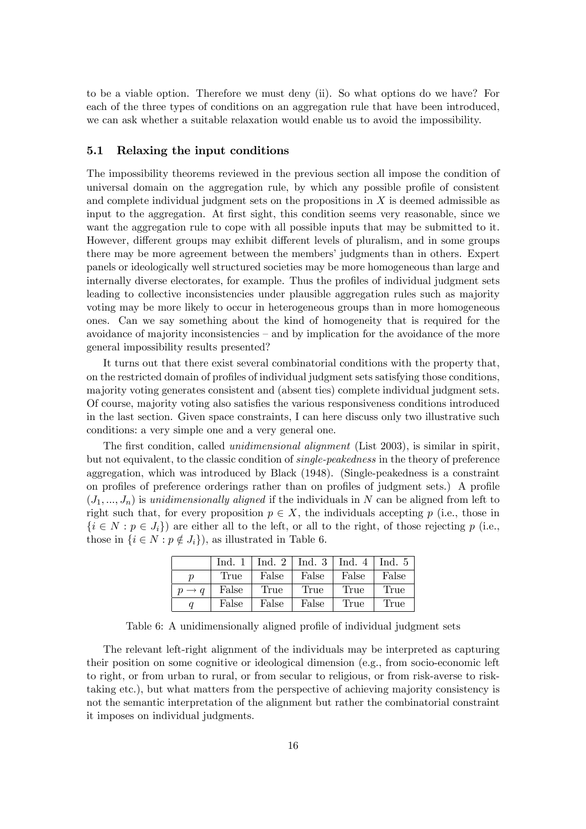to be a viable option. Therefore we must deny (ii). So what options do we have? For each of the three types of conditions on an aggregation rule that have been introduced, we can ask whether a suitable relaxation would enable us to avoid the impossibility.

### 5.1 Relaxing the input conditions

The impossibility theorems reviewed in the previous section all impose the condition of universal domain on the aggregation rule, by which any possible profile of consistent and complete individual judgment sets on the propositions in  $X$  is deemed admissible as input to the aggregation. At first sight, this condition seems very reasonable, since we want the aggregation rule to cope with all possible inputs that may be submitted to it. However, different groups may exhibit different levels of pluralism, and in some groups there may be more agreement between the membersí judgments than in others. Expert panels or ideologically well structured societies may be more homogeneous than large and internally diverse electorates, for example. Thus the profiles of individual judgment sets leading to collective inconsistencies under plausible aggregation rules such as majority voting may be more likely to occur in heterogeneous groups than in more homogeneous ones. Can we say something about the kind of homogeneity that is required for the avoidance of majority inconsistencies – and by implication for the avoidance of the more general impossibility results presented?

It turns out that there exist several combinatorial conditions with the property that, on the restricted domain of profiles of individual judgment sets satisfying those conditions, majority voting generates consistent and (absent ties) complete individual judgment sets. Of course, majority voting also satisfies the various responsiveness conditions introduced in the last section. Given space constraints, I can here discuss only two illustrative such conditions: a very simple one and a very general one.

The first condition, called *unidimensional alignment* (List 2003), is similar in spirit, but not equivalent, to the classic condition of single-peakedness in the theory of preference aggregation, which was introduced by Black (1948). (Single-peakedness is a constraint on profiles of preference orderings rather than on profiles of judgment sets.) A profile  $(J_1, ..., J_n)$  is unidimensionally aligned if the individuals in N can be aligned from left to right such that, for every proposition  $p \in X$ , the individuals accepting p (i.e., those in  $\{i \in N : p \in J_i\}$  are either all to the left, or all to the right, of those rejecting p (i.e., those in  $\{i \in N : p \notin J_i\}$ , as illustrated in Table 6.

|                     | Ind. $1$ |       |       | Ind. $2 \mid$ Ind. $3 \mid$ Ind. $4 \mid$ Ind. $5$ |       |
|---------------------|----------|-------|-------|----------------------------------------------------|-------|
| $\boldsymbol{\eta}$ | True     | False | False | False                                              | False |
|                     | False    | True  | True  | True                                               | True  |
| a                   | False    | False | False | True                                               | True  |

Table 6: A unidimensionally aligned profile of individual judgment sets

The relevant left-right alignment of the individuals may be interpreted as capturing their position on some cognitive or ideological dimension (e.g., from socio-economic left to right, or from urban to rural, or from secular to religious, or from risk-averse to risktaking etc.), but what matters from the perspective of achieving majority consistency is not the semantic interpretation of the alignment but rather the combinatorial constraint it imposes on individual judgments.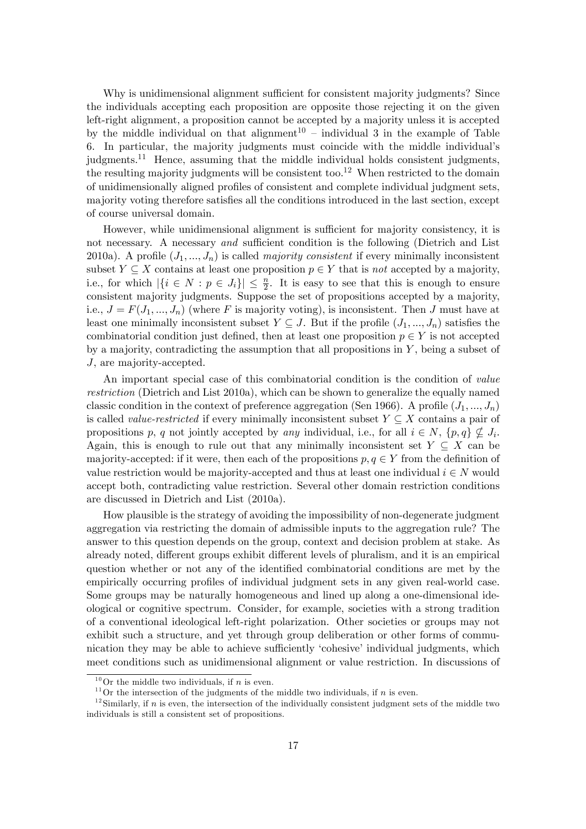Why is unidimensional alignment sufficient for consistent majority judgments? Since the individuals accepting each proposition are opposite those rejecting it on the given left-right alignment, a proposition cannot be accepted by a majority unless it is accepted by the middle individual on that alignment<sup>10</sup> – individual 3 in the example of Table 6. In particular, the majority judgments must coincide with the middle individualís judgments.<sup>11</sup> Hence, assuming that the middle individual holds consistent judgments, the resulting majority judgments will be consistent too.<sup>12</sup> When restricted to the domain of unidimensionally aligned profiles of consistent and complete individual judgment sets, majority voting therefore satisfies all the conditions introduced in the last section, except of course universal domain.

However, while unidimensional alignment is sufficient for majority consistency, it is not necessary. A necessary and sufficient condition is the following (Dietrich and List 2010a). A profile  $(J_1, ..., J_n)$  is called *majority consistent* if every minimally inconsistent subset  $Y \subseteq X$  contains at least one proposition  $p \in Y$  that is not accepted by a majority, i.e., for which  $|\{i \in N : p \in J_i\}| \leq \frac{n}{2}$ . It is easy to see that this is enough to ensure consistent majority judgments. Suppose the set of propositions accepted by a majority, i.e.,  $J = F(J_1, ..., J_n)$  (where F is majority voting), is inconsistent. Then J must have at least one minimally inconsistent subset  $Y \subseteq J$ . But if the profile  $(J_1, ..., J_n)$  satisfies the combinatorial condition just defined, then at least one proposition  $p \in Y$  is not accepted by a majority, contradicting the assumption that all propositions in  $Y$ , being a subset of J, are majority-accepted.

An important special case of this combinatorial condition is the condition of value restriction (Dietrich and List 2010a), which can be shown to generalize the equally named classic condition in the context of preference aggregation (Sen 1966). A profile  $(J_1, ..., J_n)$ is called *value-restricted* if every minimally inconsistent subset  $Y \subseteq X$  contains a pair of propositions p, q not jointly accepted by any individual, i.e., for all  $i \in N$ ,  $\{p,q\} \nsubseteq J_i$ . Again, this is enough to rule out that any minimally inconsistent set  $Y \subseteq X$  can be majority-accepted: if it were, then each of the propositions  $p, q \in Y$  from the definition of value restriction would be majority-accepted and thus at least one individual  $i \in N$  would accept both, contradicting value restriction. Several other domain restriction conditions are discussed in Dietrich and List (2010a).

How plausible is the strategy of avoiding the impossibility of non-degenerate judgment aggregation via restricting the domain of admissible inputs to the aggregation rule? The answer to this question depends on the group, context and decision problem at stake. As already noted, different groups exhibit different levels of pluralism, and it is an empirical question whether or not any of the identified combinatorial conditions are met by the empirically occurring profiles of individual judgment sets in any given real-world case. Some groups may be naturally homogeneous and lined up along a one-dimensional ideological or cognitive spectrum. Consider, for example, societies with a strong tradition of a conventional ideological left-right polarization. Other societies or groups may not exhibit such a structure, and yet through group deliberation or other forms of communication they may be able to achieve sufficiently 'cohesive' individual judgments, which meet conditions such as unidimensional alignment or value restriction. In discussions of

<sup>&</sup>lt;sup>10</sup>Or the middle two individuals, if *n* is even.

<sup>&</sup>lt;sup>11</sup>Or the intersection of the judgments of the middle two individuals, if *n* is even.

 $12$  Similarly, if n is even, the intersection of the individually consistent judgment sets of the middle two individuals is still a consistent set of propositions.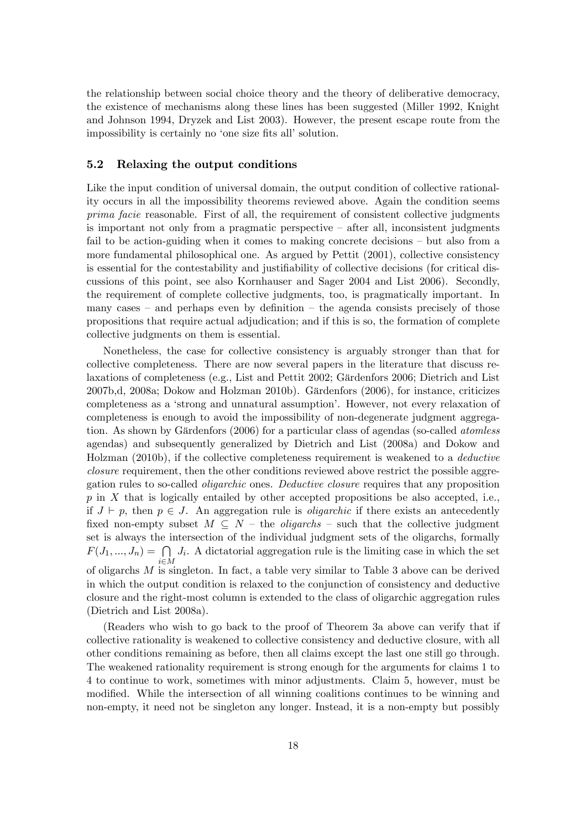the relationship between social choice theory and the theory of deliberative democracy, the existence of mechanisms along these lines has been suggested (Miller 1992, Knight and Johnson 1994, Dryzek and List 2003). However, the present escape route from the impossibility is certainly no 'one size fits all' solution.

### 5.2 Relaxing the output conditions

Like the input condition of universal domain, the output condition of collective rationality occurs in all the impossibility theorems reviewed above. Again the condition seems prima facie reasonable. First of all, the requirement of consistent collective judgments is important not only from a pragmatic perspective  $\overline{\phantom{a}}$  after all, inconsistent judgments fail to be action-guiding when it comes to making concrete decisions  $-$  but also from a more fundamental philosophical one. As argued by Pettit (2001), collective consistency is essential for the contestability and justifiability of collective decisions (for critical discussions of this point, see also Kornhauser and Sager 2004 and List 2006). Secondly, the requirement of complete collective judgments, too, is pragmatically important. In many cases  $-$  and perhaps even by definition  $-$  the agenda consists precisely of those propositions that require actual adjudication; and if this is so, the formation of complete collective judgments on them is essential.

Nonetheless, the case for collective consistency is arguably stronger than that for collective completeness. There are now several papers in the literature that discuss relaxations of completeness (e.g., List and Pettit 2002; Gärdenfors 2006; Dietrich and List 2007b,d, 2008a; Dokow and Holzman 2010b). Gärdenfors (2006), for instance, criticizes completeness as a 'strong and unnatural assumption'. However, not every relaxation of completeness is enough to avoid the impossibility of non-degenerate judgment aggregation. As shown by Gärdenfors (2006) for a particular class of agendas (so-called *atomless* agendas) and subsequently generalized by Dietrich and List (2008a) and Dokow and Holzman (2010b), if the collective completeness requirement is weakened to a deductive closure requirement, then the other conditions reviewed above restrict the possible aggregation rules to so-called oligarchic ones. Deductive closure requires that any proposition  $p$  in  $X$  that is logically entailed by other accepted propositions be also accepted, i.e., if  $J \vdash p$ , then  $p \in J$ . An aggregation rule is *oligarchic* if there exists an antecedently fixed non-empty subset  $M \subseteq N$  – the *oligarchs* – such that the collective judgment set is always the intersection of the individual judgment sets of the oligarchs, formally  $F(J_1, ..., J_n) = \bigcap$  $\sum_{i=1}^{n}$  $J_i$ . A dictatorial aggregation rule is the limiting case in which the set of oligarchs  $M$  is singleton. In fact, a table very similar to Table 3 above can be derived in which the output condition is relaxed to the conjunction of consistency and deductive closure and the right-most column is extended to the class of oligarchic aggregation rules (Dietrich and List 2008a).

(Readers who wish to go back to the proof of Theorem 3a above can verify that if collective rationality is weakened to collective consistency and deductive closure, with all other conditions remaining as before, then all claims except the last one still go through. The weakened rationality requirement is strong enough for the arguments for claims 1 to 4 to continue to work, sometimes with minor adjustments. Claim 5, however, must be modified. While the intersection of all winning coalitions continues to be winning and non-empty, it need not be singleton any longer. Instead, it is a non-empty but possibly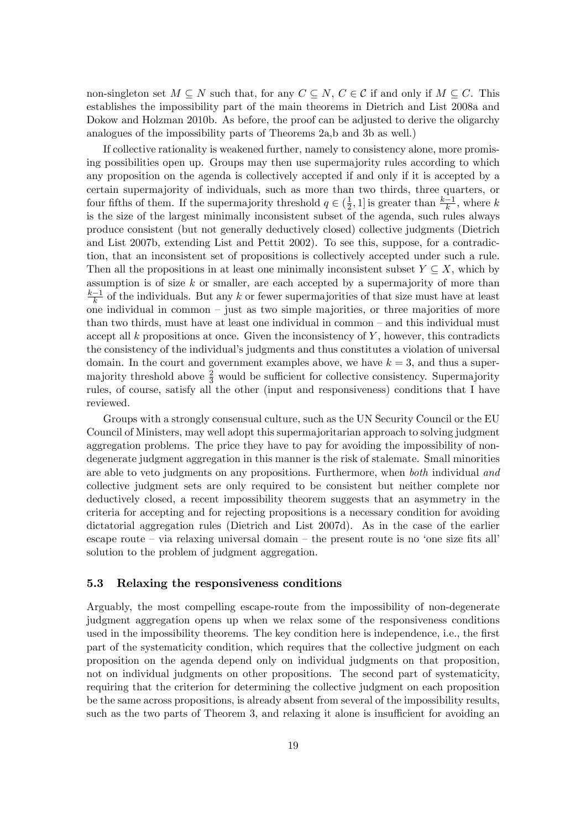non-singleton set  $M \subseteq N$  such that, for any  $C \subseteq N$ ,  $C \in \mathcal{C}$  if and only if  $M \subseteq C$ . This establishes the impossibility part of the main theorems in Dietrich and List 2008a and Dokow and Holzman 2010b. As before, the proof can be adjusted to derive the oligarchy analogues of the impossibility parts of Theorems 2a,b and 3b as well.)

If collective rationality is weakened further, namely to consistency alone, more promising possibilities open up. Groups may then use supermajority rules according to which any proposition on the agenda is collectively accepted if and only if it is accepted by a certain supermajority of individuals, such as more than two thirds, three quarters, or four fifths of them. If the supermajority threshold  $q \in (\frac{1}{2}, 1]$  is greater than  $\frac{k-1}{k}$ , where k is the size of the largest minimally inconsistent subset of the agenda, such rules always produce consistent (but not generally deductively closed) collective judgments (Dietrich and List 2007b, extending List and Pettit 2002). To see this, suppose, for a contradiction, that an inconsistent set of propositions is collectively accepted under such a rule. Then all the propositions in at least one minimally inconsistent subset  $Y \subseteq X$ , which by assumption is of size  $k$  or smaller, are each accepted by a supermajority of more than  $\frac{k-1}{k}$  of the individuals. But any k or fewer supermajorities of that size must have at least one individual in common  $\overline{\phantom{a}}$  just as two simple majorities, or three majorities of more than two thirds, must have at least one individual in common  $-$  and this individual must accept all  $k$  propositions at once. Given the inconsistency of  $Y$ , however, this contradicts the consistency of the individual's judgments and thus constitutes a violation of universal domain. In the court and government examples above, we have  $k = 3$ , and thus a supermajority threshold above  $\frac{2}{3}$  would be sufficient for collective consistency. Supermajority rules, of course, satisfy all the other (input and responsiveness) conditions that I have reviewed.

Groups with a strongly consensual culture, such as the UN Security Council or the EU Council of Ministers, may well adopt this supermajoritarian approach to solving judgment aggregation problems. The price they have to pay for avoiding the impossibility of nondegenerate judgment aggregation in this manner is the risk of stalemate. Small minorities are able to veto judgments on any propositions. Furthermore, when both individual and collective judgment sets are only required to be consistent but neither complete nor deductively closed, a recent impossibility theorem suggests that an asymmetry in the criteria for accepting and for rejecting propositions is a necessary condition for avoiding dictatorial aggregation rules (Dietrich and List 2007d). As in the case of the earlier escape route  $\sim$  via relaxing universal domain  $\sim$  the present route is no 'one size fits all' solution to the problem of judgment aggregation.

#### 5.3 Relaxing the responsiveness conditions

Arguably, the most compelling escape-route from the impossibility of non-degenerate judgment aggregation opens up when we relax some of the responsiveness conditions used in the impossibility theorems. The key condition here is independence, i.e., the first part of the systematicity condition, which requires that the collective judgment on each proposition on the agenda depend only on individual judgments on that proposition, not on individual judgments on other propositions. The second part of systematicity, requiring that the criterion for determining the collective judgment on each proposition be the same across propositions, is already absent from several of the impossibility results, such as the two parts of Theorem 3, and relaxing it alone is insufficient for avoiding an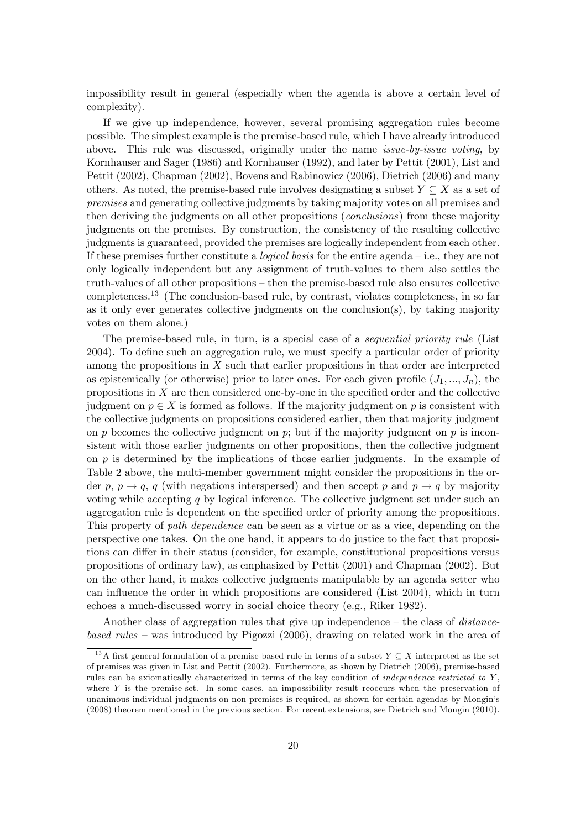impossibility result in general (especially when the agenda is above a certain level of complexity).

If we give up independence, however, several promising aggregation rules become possible. The simplest example is the premise-based rule, which I have already introduced above. This rule was discussed, originally under the name issue-by-issue voting, by Kornhauser and Sager (1986) and Kornhauser (1992), and later by Pettit (2001), List and Pettit (2002), Chapman (2002), Bovens and Rabinowicz (2006), Dietrich (2006) and many others. As noted, the premise-based rule involves designating a subset  $Y \subseteq X$  as a set of premises and generating collective judgments by taking majority votes on all premises and then deriving the judgments on all other propositions (conclusions) from these majority judgments on the premises. By construction, the consistency of the resulting collective judgments is guaranteed, provided the premises are logically independent from each other. If these premises further constitute a *logical basis* for the entire agenda  $-i.e.,$  they are not only logically independent but any assignment of truth-values to them also settles the  $truth-values$  of all other propositions  $-$  then the premise-based rule also ensures collective completeness.<sup>13</sup> (The conclusion-based rule, by contrast, violates completeness, in so far as it only ever generates collective judgments on the conclusion $(s)$ , by taking majority votes on them alone.)

The premise-based rule, in turn, is a special case of a *sequential priority rule* (List 2004). To define such an aggregation rule, we must specify a particular order of priority among the propositions in X such that earlier propositions in that order are interpreted as epistemically (or otherwise) prior to later ones. For each given profile  $(J_1, ..., J_n)$ , the propositions in  $X$  are then considered one-by-one in the specified order and the collective judgment on  $p \in X$  is formed as follows. If the majority judgment on p is consistent with the collective judgments on propositions considered earlier, then that majority judgment on p becomes the collective judgment on p; but if the majority judgment on p is inconsistent with those earlier judgments on other propositions, then the collective judgment on  $p$  is determined by the implications of those earlier judgments. In the example of Table 2 above, the multi-member government might consider the propositions in the order p,  $p \rightarrow q$ , q (with negations interspersed) and then accept p and  $p \rightarrow q$  by majority voting while accepting q by logical inference. The collective judgment set under such an aggregation rule is dependent on the specified order of priority among the propositions. This property of path dependence can be seen as a virtue or as a vice, depending on the perspective one takes. On the one hand, it appears to do justice to the fact that propositions can differ in their status (consider, for example, constitutional propositions versus propositions of ordinary law), as emphasized by Pettit (2001) and Chapman (2002). But on the other hand, it makes collective judgments manipulable by an agenda setter who can influence the order in which propositions are considered (List 2004), which in turn echoes a much-discussed worry in social choice theory (e.g., Riker 1982).

Another class of aggregation rules that give up independence  $-$  the class of *distance*based rules – was introduced by Pigozzi  $(2006)$ , drawing on related work in the area of

<sup>&</sup>lt;sup>13</sup>A first general formulation of a premise-based rule in terms of a subset  $Y \subseteq X$  interpreted as the set of premises was given in List and Pettit (2002). Furthermore, as shown by Dietrich (2006), premise-based rules can be axiomatically characterized in terms of the key condition of *independence restricted to Y*, where  $Y$  is the premise-set. In some cases, an impossibility result reoccurs when the preservation of unanimous individual judgments on non-premises is required, as shown for certain agendas by Mongin's (2008) theorem mentioned in the previous section. For recent extensions, see Dietrich and Mongin (2010).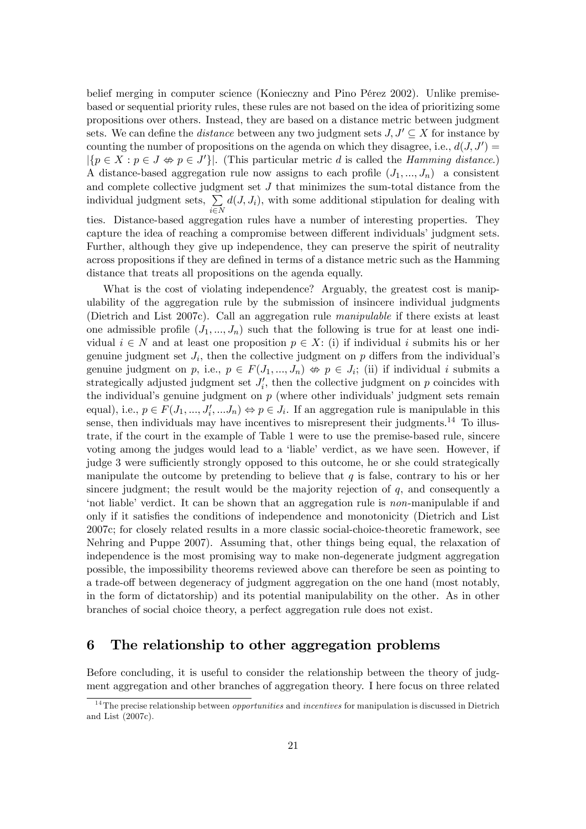belief merging in computer science (Konieczny and Pino PÈrez 2002). Unlike premisebased or sequential priority rules, these rules are not based on the idea of prioritizing some propositions over others. Instead, they are based on a distance metric between judgment sets. We can define the *distance* between any two judgment sets  $J, J' \subseteq X$  for instance by counting the number of propositions on the agenda on which they disagree, i.e.,  $d(J, J') =$  $|\{p \in X : p \in J \Leftrightarrow p \in J'\}|.$  (This particular metric d is called the *Hamming distance*.) A distance-based aggregation rule now assigns to each profile  $(J_1, ..., J_n)$  a consistent and complete collective judgment set  $J$  that minimizes the sum-total distance from the individual judgment sets,  $\Sigma$  $i\in\!N$  $d(J, J_i)$ , with some additional stipulation for dealing with ties. Distance-based aggregation rules have a number of interesting properties. They capture the idea of reaching a compromise between different individuals' judgment sets. Further, although they give up independence, they can preserve the spirit of neutrality across propositions if they are defined in terms of a distance metric such as the Hamming

distance that treats all propositions on the agenda equally.

What is the cost of violating independence? Arguably, the greatest cost is manipulability of the aggregation rule by the submission of insincere individual judgments (Dietrich and List 2007c). Call an aggregation rule manipulable if there exists at least one admissible profile  $(J_1, ..., J_n)$  such that the following is true for at least one individual  $i \in N$  and at least one proposition  $p \in X$ : (i) if individual i submits his or her genuine judgment set  $J_i$ , then the collective judgment on p differs from the individual's genuine judgment on p, i.e.,  $p \in F(J_1, ..., J_n) \Leftrightarrow p \in J_i$ ; (ii) if individual i submits a strategically adjusted judgment set  $J_i'$ , then the collective judgment on p coincides with the individual's genuine judgment on  $p$  (where other individuals' judgment sets remain equal), i.e.,  $p \in F(J_1, ..., J'_i, ... J_n) \Leftrightarrow p \in J_i$ . If an aggregation rule is manipulable in this sense, then individuals may have incentives to misrepresent their judgments.<sup>14</sup> To illustrate, if the court in the example of Table 1 were to use the premise-based rule, sincere voting among the judges would lead to a 'liable' verdict, as we have seen. However, if judge 3 were sufficiently strongly opposed to this outcome, he or she could strategically manipulate the outcome by pretending to believe that  $q$  is false, contrary to his or her sincere judgment; the result would be the majority rejection of  $q$ , and consequently a ënot liableí verdict. It can be shown that an aggregation rule is non-manipulable if and only if it satisÖes the conditions of independence and monotonicity (Dietrich and List 2007c; for closely related results in a more classic social-choice-theoretic framework, see Nehring and Puppe 2007). Assuming that, other things being equal, the relaxation of independence is the most promising way to make non-degenerate judgment aggregation possible, the impossibility theorems reviewed above can therefore be seen as pointing to a trade-off between degeneracy of judgment aggregation on the one hand (most notably, in the form of dictatorship) and its potential manipulability on the other. As in other branches of social choice theory, a perfect aggregation rule does not exist.

# 6 The relationship to other aggregation problems

Before concluding, it is useful to consider the relationship between the theory of judgment aggregation and other branches of aggregation theory. I here focus on three related

 $14$ The precise relationship between *opportunities* and *incentives* for manipulation is discussed in Dietrich and List (2007c).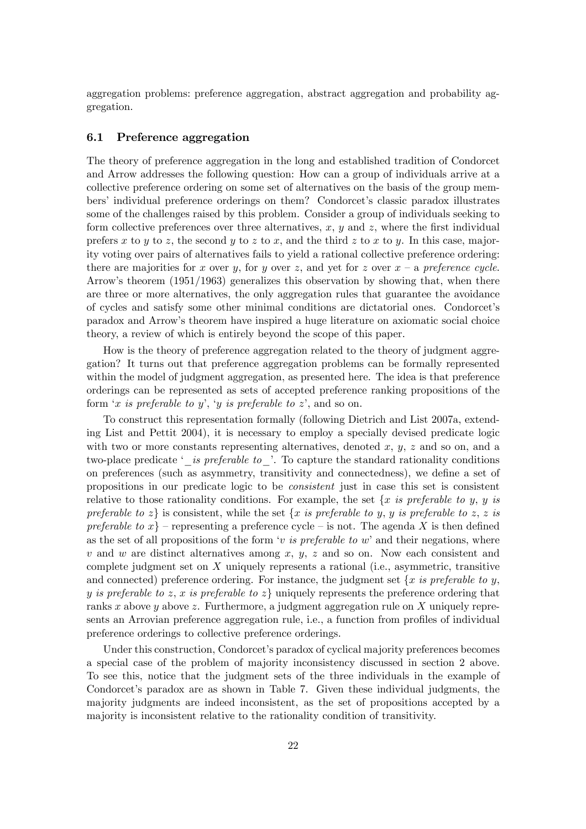aggregation problems: preference aggregation, abstract aggregation and probability aggregation.

### 6.1 Preference aggregation

The theory of preference aggregation in the long and established tradition of Condorcet and Arrow addresses the following question: How can a group of individuals arrive at a collective preference ordering on some set of alternatives on the basis of the group members' individual preference orderings on them? Condorcet's classic paradox illustrates some of the challenges raised by this problem. Consider a group of individuals seeking to form collective preferences over three alternatives,  $x, y$  and  $z$ , where the first individual prefers x to y to z, the second y to z to x, and the third z to x to y. In this case, majority voting over pairs of alternatives fails to yield a rational collective preference ordering: there are majorities for x over y, for y over z, and yet for z over  $x - a$  preference cycle. Arrow's theorem  $(1951/1963)$  generalizes this observation by showing that, when there are three or more alternatives, the only aggregation rules that guarantee the avoidance of cycles and satisfy some other minimal conditions are dictatorial ones. Condorcetís paradox and Arrowís theorem have inspired a huge literature on axiomatic social choice theory, a review of which is entirely beyond the scope of this paper.

How is the theory of preference aggregation related to the theory of judgment aggregation? It turns out that preference aggregation problems can be formally represented within the model of judgment aggregation, as presented here. The idea is that preference orderings can be represented as sets of accepted preference ranking propositions of the form 'x is preferable to y', 'y is preferable to z', and so on.

To construct this representation formally (following Dietrich and List 2007a, extending List and Pettit 2004), it is necessary to employ a specially devised predicate logic with two or more constants representing alternatives, denoted  $x, y, z$  and so on, and a two-place predicate  $\cdot$  *is preferable to*  $\cdot$ . To capture the standard rationality conditions on preferences (such as asymmetry, transitivity and connectedness), we define a set of propositions in our predicate logic to be consistent just in case this set is consistent relative to those rationality conditions. For example, the set  $\{x \text{ is preferable to } y, y \text{ is }$ preferable to  $z$  is consistent, while the set  $\{x \text{ is preferable to } y, y \text{ is preferable to } z, z \text{ is }$ preferable to  $x$  – representing a preference cycle – is not. The agenda X is then defined as the set of all propositions of the form 'v is preferable to  $w$ ' and their negations, where  $v$  and  $w$  are distinct alternatives among  $x, y, z$  and so on. Now each consistent and complete judgment set on X uniquely represents a rational (i.e., asymmetric, transitive and connected) preference ordering. For instance, the judgment set  $\{x \text{ is preferable to } y,$ y is preferable to z, x is preferable to z uniquely represents the preference ordering that ranks x above y above z. Furthermore, a judgment aggregation rule on X uniquely represents an Arrovian preference aggregation rule, i.e., a function from profiles of individual preference orderings to collective preference orderings.

Under this construction, Condorcet's paradox of cyclical majority preferences becomes a special case of the problem of majority inconsistency discussed in section 2 above. To see this, notice that the judgment sets of the three individuals in the example of Condorcet's paradox are as shown in Table 7. Given these individual judgments, the majority judgments are indeed inconsistent, as the set of propositions accepted by a majority is inconsistent relative to the rationality condition of transitivity.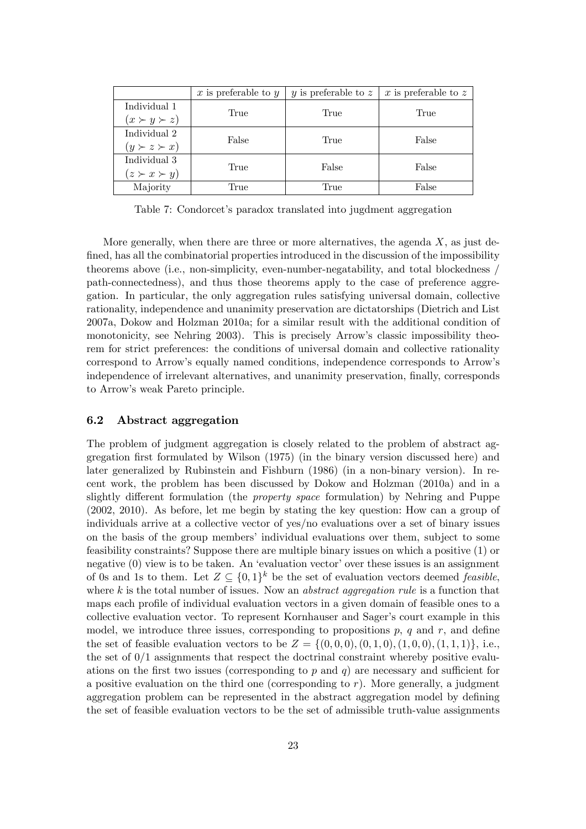|                       | x is preferable to $y$ | y is preferable to $z$ | $x$ is preferable to $z$ |  |
|-----------------------|------------------------|------------------------|--------------------------|--|
| Individual 1          | True                   | True                   | True                     |  |
| $(x \succ y \succ z)$ |                        |                        |                          |  |
| Individual 2          | False                  | True                   | False                    |  |
| $(y \succ z \succ x)$ |                        |                        |                          |  |
| Individual 3          | True                   | False                  | False                    |  |
| $(z \succ x \succ y)$ |                        |                        |                          |  |
| Majority              | True                   | True                   | False                    |  |

Table 7: Condorcet's paradox translated into jugdment aggregation

More generally, when there are three or more alternatives, the agenda  $X$ , as just defined, has all the combinatorial properties introduced in the discussion of the impossibility theorems above (i.e., non-simplicity, even-number-negatability, and total blockedness / path-connectedness), and thus those theorems apply to the case of preference aggregation. In particular, the only aggregation rules satisfying universal domain, collective rationality, independence and unanimity preservation are dictatorships (Dietrich and List 2007a, Dokow and Holzman 2010a; for a similar result with the additional condition of monotonicity, see Nehring 2003). This is precisely Arrow's classic impossibility theorem for strict preferences: the conditions of universal domain and collective rationality correspond to Arrowís equally named conditions, independence corresponds to Arrowís independence of irrelevant alternatives, and unanimity preservation, finally, corresponds to Arrowís weak Pareto principle.

### 6.2 Abstract aggregation

The problem of judgment aggregation is closely related to the problem of abstract aggregation first formulated by Wilson (1975) (in the binary version discussed here) and later generalized by Rubinstein and Fishburn (1986) (in a non-binary version). In recent work, the problem has been discussed by Dokow and Holzman (2010a) and in a slightly different formulation (the *property space* formulation) by Nehring and Puppe (2002, 2010). As before, let me begin by stating the key question: How can a group of individuals arrive at a collective vector of yes/no evaluations over a set of binary issues on the basis of the group members' individual evaluations over them, subject to some feasibility constraints? Suppose there are multiple binary issues on which a positive (1) or negative  $(0)$  view is to be taken. An 'evaluation vector' over these issues is an assignment of 0s and 1s to them. Let  $Z \subseteq \{0,1\}^k$  be the set of evaluation vectors deemed *feasible*, where k is the total number of issues. Now an *abstract aggregation rule* is a function that maps each profile of individual evaluation vectors in a given domain of feasible ones to a collective evaluation vector. To represent Kornhauser and Sager's court example in this model, we introduce three issues, corresponding to propositions  $p, q$  and  $r$ , and define the set of feasible evaluation vectors to be  $Z = \{(0,0,0), (0,1,0), (1,0,0), (1,1,1)\}\)$ , i.e., the set of  $0/1$  assignments that respect the doctrinal constraint whereby positive evaluations on the first two issues (corresponding to  $p$  and  $q$ ) are necessary and sufficient for a positive evaluation on the third one (corresponding to  $r$ ). More generally, a judgment aggregation problem can be represented in the abstract aggregation model by defining the set of feasible evaluation vectors to be the set of admissible truth-value assignments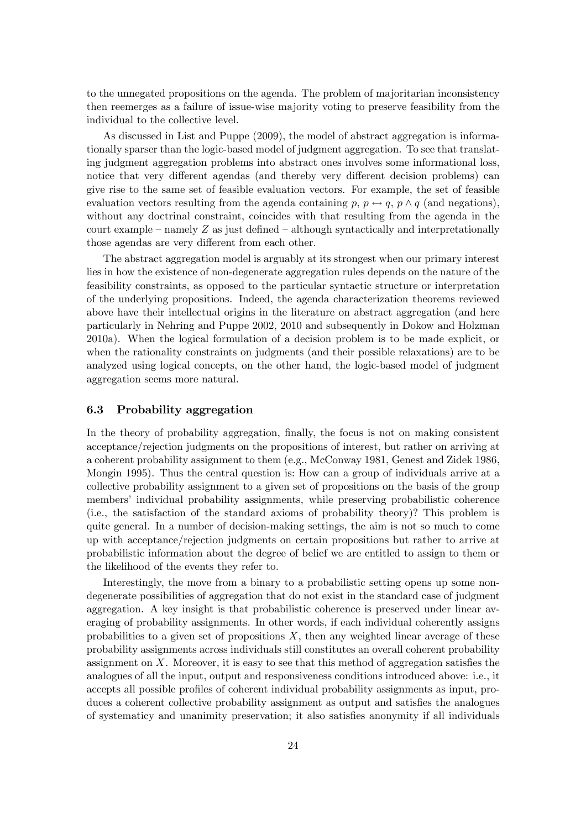to the unnegated propositions on the agenda. The problem of majoritarian inconsistency then reemerges as a failure of issue-wise majority voting to preserve feasibility from the individual to the collective level.

As discussed in List and Puppe (2009), the model of abstract aggregation is informationally sparser than the logic-based model of judgment aggregation. To see that translating judgment aggregation problems into abstract ones involves some informational loss, notice that very different agendas (and thereby very different decision problems) can give rise to the same set of feasible evaluation vectors. For example, the set of feasible evaluation vectors resulting from the agenda containing p,  $p \leftrightarrow q$ ,  $p \wedge q$  (and negations), without any doctrinal constraint, coincides with that resulting from the agenda in the court example – namely  $Z$  as just defined – although syntactically and interpretationally those agendas are very different from each other.

The abstract aggregation model is arguably at its strongest when our primary interest lies in how the existence of non-degenerate aggregation rules depends on the nature of the feasibility constraints, as opposed to the particular syntactic structure or interpretation of the underlying propositions. Indeed, the agenda characterization theorems reviewed above have their intellectual origins in the literature on abstract aggregation (and here particularly in Nehring and Puppe 2002, 2010 and subsequently in Dokow and Holzman 2010a). When the logical formulation of a decision problem is to be made explicit, or when the rationality constraints on judgments (and their possible relaxations) are to be analyzed using logical concepts, on the other hand, the logic-based model of judgment aggregation seems more natural.

### 6.3 Probability aggregation

In the theory of probability aggregation, finally, the focus is not on making consistent acceptance/rejection judgments on the propositions of interest, but rather on arriving at a coherent probability assignment to them (e.g., McConway 1981, Genest and Zidek 1986, Mongin 1995). Thus the central question is: How can a group of individuals arrive at a collective probability assignment to a given set of propositions on the basis of the group membersí individual probability assignments, while preserving probabilistic coherence (i.e., the satisfaction of the standard axioms of probability theory)? This problem is quite general. In a number of decision-making settings, the aim is not so much to come up with acceptance/rejection judgments on certain propositions but rather to arrive at probabilistic information about the degree of belief we are entitled to assign to them or the likelihood of the events they refer to.

Interestingly, the move from a binary to a probabilistic setting opens up some nondegenerate possibilities of aggregation that do not exist in the standard case of judgment aggregation. A key insight is that probabilistic coherence is preserved under linear averaging of probability assignments. In other words, if each individual coherently assigns probabilities to a given set of propositions  $X$ , then any weighted linear average of these probability assignments across individuals still constitutes an overall coherent probability assignment on  $X$ . Moreover, it is easy to see that this method of aggregation satisfies the analogues of all the input, output and responsiveness conditions introduced above: i.e., it accepts all possible profiles of coherent individual probability assignments as input, produces a coherent collective probability assignment as output and satisfies the analogues of systematicy and unanimity preservation; it also satisfies anonymity if all individuals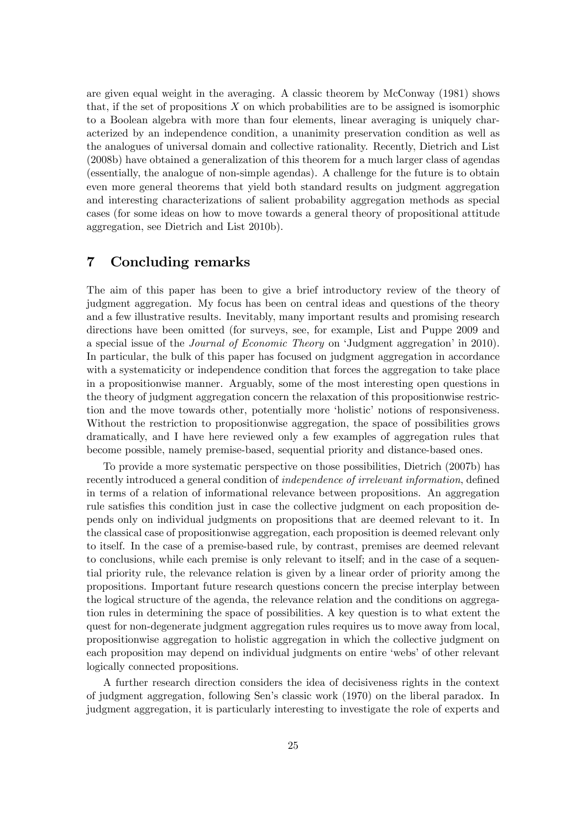are given equal weight in the averaging. A classic theorem by McConway (1981) shows that, if the set of propositions  $X$  on which probabilities are to be assigned is isomorphic to a Boolean algebra with more than four elements, linear averaging is uniquely characterized by an independence condition, a unanimity preservation condition as well as the analogues of universal domain and collective rationality. Recently, Dietrich and List (2008b) have obtained a generalization of this theorem for a much larger class of agendas (essentially, the analogue of non-simple agendas). A challenge for the future is to obtain even more general theorems that yield both standard results on judgment aggregation and interesting characterizations of salient probability aggregation methods as special cases (for some ideas on how to move towards a general theory of propositional attitude aggregation, see Dietrich and List 2010b).

### 7 Concluding remarks

The aim of this paper has been to give a brief introductory review of the theory of judgment aggregation. My focus has been on central ideas and questions of the theory and a few illustrative results. Inevitably, many important results and promising research directions have been omitted (for surveys, see, for example, List and Puppe 2009 and a special issue of the *Journal of Economic Theory* on 'Judgment aggregation' in 2010). In particular, the bulk of this paper has focused on judgment aggregation in accordance with a systematicity or independence condition that forces the aggregation to take place in a propositionwise manner. Arguably, some of the most interesting open questions in the theory of judgment aggregation concern the relaxation of this propositionwise restriction and the move towards other, potentially more 'holistic' notions of responsiveness. Without the restriction to propositionwise aggregation, the space of possibilities grows dramatically, and I have here reviewed only a few examples of aggregation rules that become possible, namely premise-based, sequential priority and distance-based ones.

To provide a more systematic perspective on those possibilities, Dietrich (2007b) has recently introduced a general condition of independence of irrelevant information, defined in terms of a relation of informational relevance between propositions. An aggregation rule satisfies this condition just in case the collective judgment on each proposition depends only on individual judgments on propositions that are deemed relevant to it. In the classical case of propositionwise aggregation, each proposition is deemed relevant only to itself. In the case of a premise-based rule, by contrast, premises are deemed relevant to conclusions, while each premise is only relevant to itself; and in the case of a sequential priority rule, the relevance relation is given by a linear order of priority among the propositions. Important future research questions concern the precise interplay between the logical structure of the agenda, the relevance relation and the conditions on aggregation rules in determining the space of possibilities. A key question is to what extent the quest for non-degenerate judgment aggregation rules requires us to move away from local, propositionwise aggregation to holistic aggregation in which the collective judgment on each proposition may depend on individual judgments on entire 'webs' of other relevant logically connected propositions.

A further research direction considers the idea of decisiveness rights in the context of judgment aggregation, following Senís classic work (1970) on the liberal paradox. In judgment aggregation, it is particularly interesting to investigate the role of experts and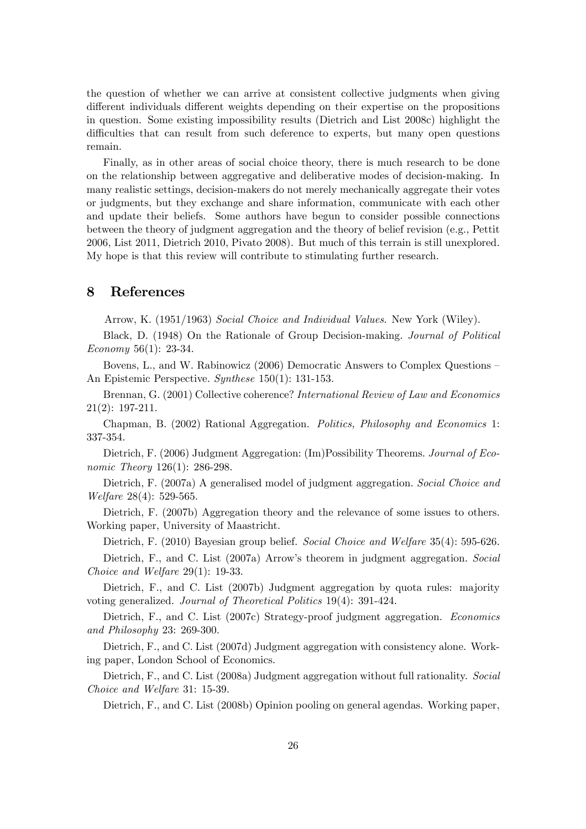the question of whether we can arrive at consistent collective judgments when giving different individuals different weights depending on their expertise on the propositions in question. Some existing impossibility results (Dietrich and List 2008c) highlight the difficulties that can result from such deference to experts, but many open questions remain.

Finally, as in other areas of social choice theory, there is much research to be done on the relationship between aggregative and deliberative modes of decision-making. In many realistic settings, decision-makers do not merely mechanically aggregate their votes or judgments, but they exchange and share information, communicate with each other and update their beliefs. Some authors have begun to consider possible connections between the theory of judgment aggregation and the theory of belief revision (e.g., Pettit 2006, List 2011, Dietrich 2010, Pivato 2008). But much of this terrain is still unexplored. My hope is that this review will contribute to stimulating further research.

### 8 References

Arrow, K. (1951/1963) Social Choice and Individual Values. New York (Wiley).

Black, D. (1948) On the Rationale of Group Decision-making. Journal of Political Economy 56(1): 23-34.

Bovens, L., and W. Rabinowicz (2006) Democratic Answers to Complex Questions  $-$ An Epistemic Perspective. Synthese 150(1): 131-153.

Brennan, G. (2001) Collective coherence? International Review of Law and Economics 21(2): 197-211.

Chapman, B. (2002) Rational Aggregation. Politics, Philosophy and Economics 1: 337-354.

Dietrich, F. (2006) Judgment Aggregation: (Im)Possibility Theorems. Journal of Economic Theory 126(1): 286-298.

Dietrich, F. (2007a) A generalised model of judgment aggregation. Social Choice and Welfare 28(4): 529-565.

Dietrich, F. (2007b) Aggregation theory and the relevance of some issues to others. Working paper, University of Maastricht.

Dietrich, F. (2010) Bayesian group belief. Social Choice and Welfare 35(4): 595-626.

Dietrich, F., and C. List (2007a) Arrow's theorem in judgment aggregation. Social Choice and Welfare 29(1): 19-33.

Dietrich, F., and C. List (2007b) Judgment aggregation by quota rules: majority voting generalized. Journal of Theoretical Politics 19(4): 391-424.

Dietrich, F., and C. List (2007c) Strategy-proof judgment aggregation. Economics and Philosophy 23: 269-300.

Dietrich, F., and C. List (2007d) Judgment aggregation with consistency alone. Working paper, London School of Economics.

Dietrich, F., and C. List (2008a) Judgment aggregation without full rationality. Social Choice and Welfare 31: 15-39.

Dietrich, F., and C. List (2008b) Opinion pooling on general agendas. Working paper,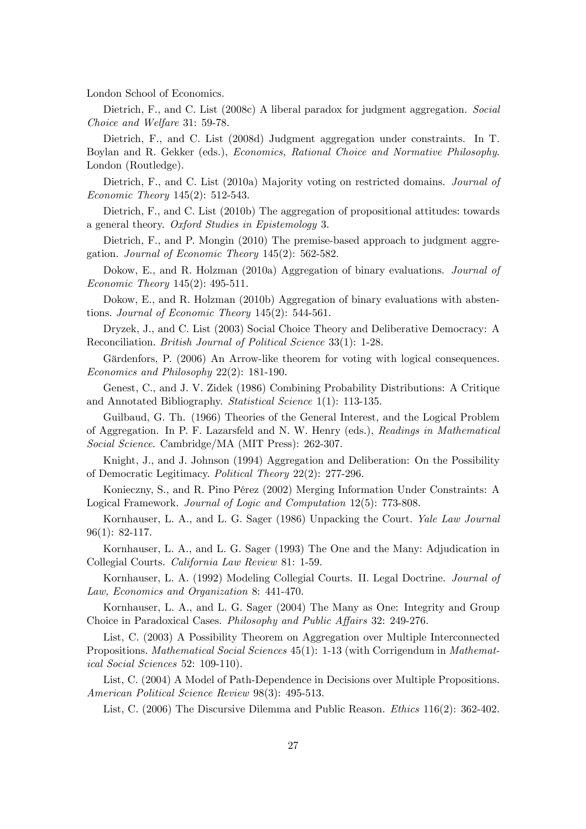London School of Economics.

Dietrich, F., and C. List (2008c) A liberal paradox for judgment aggregation. Social Choice and Welfare 31: 59-78.

Dietrich, F., and C. List (2008d) Judgment aggregation under constraints. In T. Boylan and R. Gekker (eds.), Economics, Rational Choice and Normative Philosophy. London (Routledge).

Dietrich, F., and C. List (2010a) Majority voting on restricted domains. Journal of Economic Theory 145(2): 512-543.

Dietrich, F., and C. List (2010b) The aggregation of propositional attitudes: towards a general theory. Oxford Studies in Epistemology 3.

Dietrich, F., and P. Mongin (2010) The premise-based approach to judgment aggregation. Journal of Economic Theory 145(2): 562-582.

Dokow, E., and R. Holzman (2010a) Aggregation of binary evaluations. *Journal of* Economic Theory 145(2): 495-511.

Dokow, E., and R. Holzman (2010b) Aggregation of binary evaluations with abstentions. Journal of Economic Theory 145(2): 544-561.

Dryzek, J., and C. List (2003) Social Choice Theory and Deliberative Democracy: A Reconciliation. British Journal of Political Science 33(1): 1-28.

Gärdenfors, P. (2006) An Arrow-like theorem for voting with logical consequences. Economics and Philosophy 22(2): 181-190.

Genest, C., and J. V. Zidek (1986) Combining Probability Distributions: A Critique and Annotated Bibliography. Statistical Science 1(1): 113-135.

Guilbaud, G. Th. (1966) Theories of the General Interest, and the Logical Problem of Aggregation. In P. F. Lazarsfeld and N. W. Henry (eds.), Readings in Mathematical Social Science. Cambridge/MA (MIT Press): 262-307.

Knight, J., and J. Johnson (1994) Aggregation and Deliberation: On the Possibility of Democratic Legitimacy. Political Theory 22(2): 277-296.

Konieczny, S., and R. Pino Pérez (2002) Merging Information Under Constraints: A Logical Framework. Journal of Logic and Computation 12(5): 773-808.

Kornhauser, L. A., and L. G. Sager (1986) Unpacking the Court. Yale Law Journal 96(1): 82-117.

Kornhauser, L. A., and L. G. Sager (1993) The One and the Many: Adjudication in Collegial Courts. California Law Review 81: 1-59.

Kornhauser, L. A. (1992) Modeling Collegial Courts. II. Legal Doctrine. Journal of Law, Economics and Organization 8: 441-470.

Kornhauser, L. A., and L. G. Sager (2004) The Many as One: Integrity and Group Choice in Paradoxical Cases. Philosophy and Public Affairs 32: 249-276.

List, C. (2003) A Possibility Theorem on Aggregation over Multiple Interconnected Propositions. Mathematical Social Sciences 45(1): 1-13 (with Corrigendum in Mathematical Social Sciences 52: 109-110).

List, C. (2004) A Model of Path-Dependence in Decisions over Multiple Propositions. American Political Science Review 98(3): 495-513.

List, C. (2006) The Discursive Dilemma and Public Reason. Ethics 116(2): 362-402.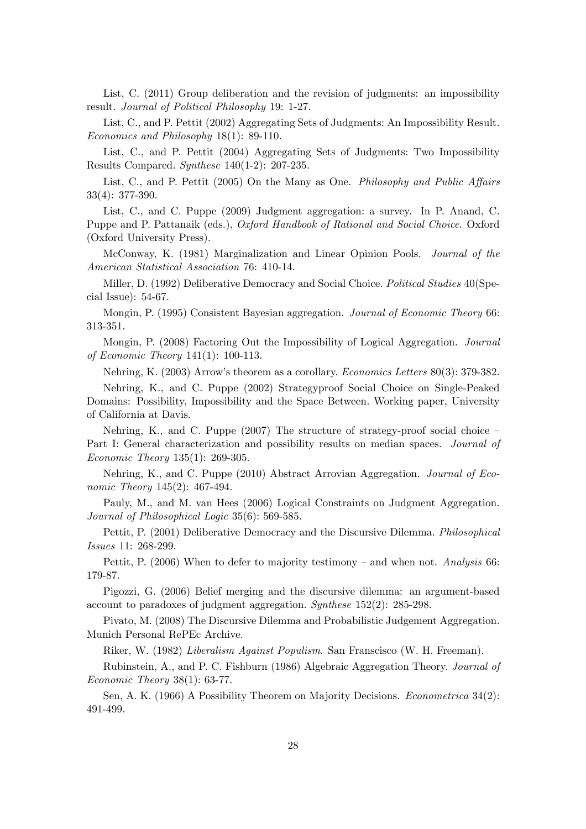List, C. (2011) Group deliberation and the revision of judgments: an impossibility result. Journal of Political Philosophy 19: 1-27.

List, C., and P. Pettit (2002) Aggregating Sets of Judgments: An Impossibility Result. Economics and Philosophy 18(1): 89-110.

List, C., and P. Pettit (2004) Aggregating Sets of Judgments: Two Impossibility Results Compared. Synthese 140(1-2): 207-235.

List, C., and P. Pettit (2005) On the Many as One. Philosophy and Public Affairs 33(4): 377-390.

List, C., and C. Puppe (2009) Judgment aggregation: a survey. In P. Anand, C. Puppe and P. Pattanaik (eds.), Oxford Handbook of Rational and Social Choice. Oxford (Oxford University Press).

McConway, K. (1981) Marginalization and Linear Opinion Pools. Journal of the American Statistical Association 76: 410-14.

Miller, D. (1992) Deliberative Democracy and Social Choice. *Political Studies* 40(Special Issue): 54-67.

Mongin, P. (1995) Consistent Bayesian aggregation. Journal of Economic Theory 66: 313-351.

Mongin, P. (2008) Factoring Out the Impossibility of Logical Aggregation. Journal of Economic Theory 141(1): 100-113.

Nehring, K. (2003) Arrowís theorem as a corollary. Economics Letters 80(3): 379-382.

Nehring, K., and C. Puppe (2002) Strategyproof Social Choice on Single-Peaked Domains: Possibility, Impossibility and the Space Between. Working paper, University of California at Davis.

Nehring, K., and C. Puppe  $(2007)$  The structure of strategy-proof social choice  $-$ Part I: General characterization and possibility results on median spaces. Journal of Economic Theory 135(1): 269-305.

Nehring, K., and C. Puppe (2010) Abstract Arrovian Aggregation. Journal of Economic Theory 145(2): 467-494.

Pauly, M., and M. van Hees (2006) Logical Constraints on Judgment Aggregation. Journal of Philosophical Logic 35(6): 569-585.

Pettit, P. (2001) Deliberative Democracy and the Discursive Dilemma. Philosophical Issues 11: 268-299.

Pettit, P. (2006) When to defer to majority testimony – and when not. Analysis 66: 179-87.

Pigozzi, G. (2006) Belief merging and the discursive dilemma: an argument-based account to paradoxes of judgment aggregation. Synthese 152(2): 285-298.

Pivato, M. (2008) The Discursive Dilemma and Probabilistic Judgement Aggregation. Munich Personal RePEc Archive.

Riker, W. (1982) Liberalism Against Populism. San Franscisco (W. H. Freeman).

Rubinstein, A., and P. C. Fishburn (1986) Algebraic Aggregation Theory. Journal of Economic Theory 38(1): 63-77.

Sen, A. K. (1966) A Possibility Theorem on Majority Decisions. Econometrica 34(2): 491-499.